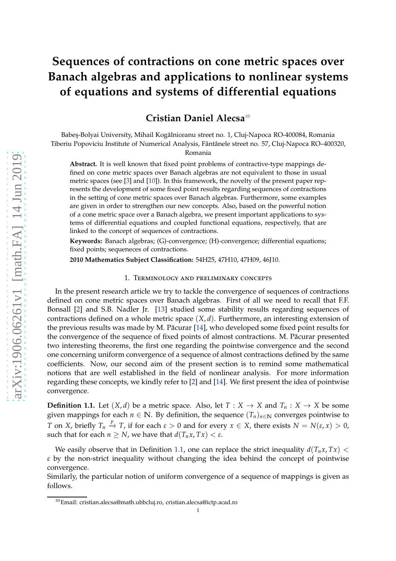# **Sequences of contractions on cone metric spaces over Banach algebras and applications to nonlinear systems of equations and systems of differential equations**

## **Cristian Daniel Alecsa** [B](#page-0-0)

Babeş-Bolyai University, Mihail Kogălniceanu street no. 1, Cluj-Napoca RO-400084, Romania Tiberiu Popoviciu Institute of Numerical Analysis, Fântânele street no. 57, Cluj-Napoca RO–400320,

Romania

**Abstract.** It is well known that fixed point problems of contractive-type mappings defined on cone metric spaces over Banach algebras are not equivalent to those in usual metric spaces (see [\[3\]](#page-25-0) and [\[10\]](#page-25-1)). In this framework, the novelty of the present paper represents the development of some fixed point results regarding sequences of contractions in the setting of cone metric spaces over Banach algebras. Furthermore, some examples are given in order to strengthen our new concepts. Also, based on the powerful notion of a cone metric space over a Banach algebra, we present important applications to systems of differential equations and coupled functional equations, respectively, that are linked to the concept of sequences of contractions.

**Keywords:** Banach algebras; (G)-convergence; (H)-convergence; differential equations; fixed points; sequeneces of contractions.

**2010 Mathematics Subject Classification:** 54H25, 47H10, 47H09, 46J10.

#### 1. Terminology and preliminary concepts

In the present research article we try to tackle the convergence of sequences of contractions defined on cone metric spaces over Banach algebras. First of all we need to recall that F.F. Bonsall [\[2\]](#page-25-2) and S.B. Nadler Jr. [\[13\]](#page-25-3) studied some stability results regarding sequences of contractions defined on a whole metric space (*X*, *d*). Furthermore, an interesting extension of the previous results was made by M. Păcurar [\[14\]](#page-25-4), who developed some fixed point results for the convergence of the sequence of fixed points of almost contractions. M. Păcurar presented two interesting theorems, the first one regarding the pointwise convergence and the second one concerning uniform convergence of a sequence of almost contractions defined by the same coefficients. Now, our second aim of the present section is to remind some mathematical notions that are well established in the field of nonlinear analysis. For more information regarding these concepts, we kindly refer to [\[2\]](#page-25-2) and [\[14\]](#page-25-4). We first present the idea of pointwise convergence.

<span id="page-0-1"></span>**Definition 1.1.** Let  $(X, d)$  be a metric space. Also, let  $T : X \to X$  and  $T_n : X \to X$  be some given mappings for each  $n \in \mathbb{N}$ . By definition, the sequence  $(T_n)_{n \in \mathbb{N}}$  converges pointwise to *T* on *X*, briefly  $T_n \stackrel{p}{\to} T$ , if for each  $\varepsilon > 0$  and for every  $x \in X$ , there exists  $N = N(\varepsilon, x) > 0$ , such that for each  $n > N$ , we have that  $d(T_n x, Tx) < \varepsilon$ .

We easily observe that in Definition [1.1,](#page-0-1) one can replace the strict inequality  $d(T_n x, Tx)$  < *ε* by the non-strict inequality without changing the idea behind the concept of pointwise convergence.

Similarly, the particular notion of uniform convergence of a sequence of mappings is given as follows.

<span id="page-0-0"></span><sup>B</sup>Email: cristian.alecsa@math.ubbcluj.ro, cristian.alecsa@ictp.acad.ro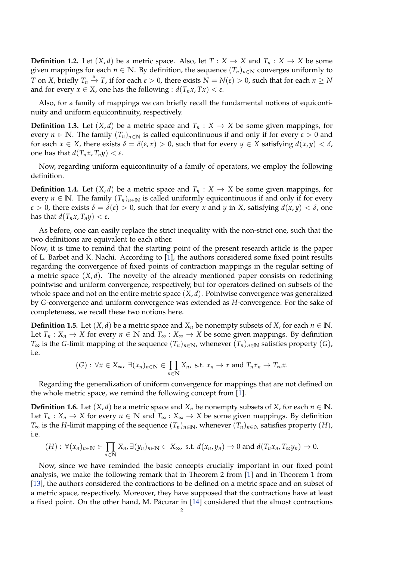**Definition 1.2.** Let  $(X, d)$  be a metric space. Also, let  $T : X \to X$  and  $T_n : X \to X$  be some given mappings for each  $n \in \mathbb{N}$ . By definition, the sequence  $(T_n)_{n \in \mathbb{N}}$  converges uniformly to *T* on *X*, briefly  $T_n \stackrel{u}{\to} T$ , if for each  $\varepsilon > 0$ , there exists  $N = N(\varepsilon) > 0$ , such that for each  $n \ge N$ and for every  $x \in X$ , one has the following :  $d(T_n x, Tx) < \varepsilon$ .

Also, for a family of mappings we can briefly recall the fundamental notions of equicontinuity and uniform equicontinuity, respectively.

**Definition 1.3.** Let  $(X, d)$  be a metric space and  $T_n : X \to X$  be some given mappings, for every  $n \in \mathbb{N}$ . The family  $(T_n)_{n \in \mathbb{N}}$  is called equicontinuous if and only if for every  $\varepsilon > 0$  and for each  $x \in X$ , there exists  $\delta = \delta(\epsilon, x) > 0$ , such that for every  $y \in X$  satisfying  $d(x, y) < \delta$ , one has that *d*(*Tnx*, *Tny*) < *ε*.

Now, regarding uniform equicontinuity of a family of operators, we employ the following definition.

**Definition 1.4.** Let  $(X, d)$  be a metric space and  $T_n : X \to X$  be some given mappings, for every  $n \in \mathbb{N}$ . The family  $(T_n)_{n \in \mathbb{N}}$  is called uniformly equicontinuous if and only if for every *ε* > 0, there exists *δ* = *δ*(*ε*) > 0, such that for every *x* and *y* in *X*, satisfying *d*(*x*, *y*) < *δ*, one has that  $d(T_n x, T_n y) < \varepsilon$ .

As before, one can easily replace the strict inequality with the non-strict one, such that the two definitions are equivalent to each other.

Now, it is time to remind that the starting point of the present research article is the paper of L. Barbet and K. Nachi. According to [\[1\]](#page-25-5), the authors considered some fixed point results regarding the convergence of fixed points of contraction mappings in the regular setting of a metric space  $(X, d)$ . The novelty of the already mentioned paper consists on redefining pointwise and uniform convergence, respectively, but for operators defined on subsets of the whole space and not on the entire metric space (*X*, *d*). Pointwise convergence was generalized by *G*-convergence and uniform convergence was extended as *H*-convergence. For the sake of completeness, we recall these two notions here.

**Definition 1.5.** Let  $(X, d)$  be a metric space and  $X_n$  be nonempty subsets of *X*, for each  $n \in \mathbb{N}$ . Let  $T_n: X_n \to X$  for every  $n \in \mathbb{N}$  and  $T_\infty: X_\infty \to X$  be some given mappings. By definition *T*<sub>∞</sub> is the *G*-limit mapping of the sequence  $(T_n)_{n \in \mathbb{N}}$ , whenever  $(T_n)_{n \in \mathbb{N}}$  satisfies property  $(G)$ , i.e.

$$
(G): \forall x \in X_{\infty}, \exists (x_n)_{n \in \mathbb{N}} \in \prod_{n \in \mathbb{N}} X_n
$$
, s.t.  $x_n \to x$  and  $T_n x_n \to T_{\infty} x$ .

Regarding the generalization of uniform convergence for mappings that are not defined on the whole metric space, we remind the following concept from [\[1\]](#page-25-5).

**Definition 1.6.** Let  $(X, d)$  be a metric space and  $X_n$  be nonempty subsets of *X*, for each  $n \in \mathbb{N}$ . Let  $T_n: X_n \to X$  for every  $n \in \mathbb{N}$  and  $T_\infty: X_\infty \to X$  be some given mappings. By definition *T*<sub>∞</sub> is the *H*-limit mapping of the sequence  $(T_n)_{n \in \mathbb{N}}$ , whenever  $(T_n)_{n \in \mathbb{N}}$  satisfies property  $(H)$ , i.e.

$$
(H): \forall (x_n)_{n\in\mathbb{N}}\in\prod_{n\in\mathbb{N}}X_n,\exists (y_n)_{n\in\mathbb{N}}\subset X_\infty,\text{ s.t. }d(x_n,y_n)\to 0\text{ and }d(T_nx_n,T_\infty y_n)\to 0.
$$

Now, since we have reminded the basic concepts crucially important in our fixed point analysis, we make the following remark that in Theorem 2 from [\[1\]](#page-25-5) and in Theorem 1 from [\[13\]](#page-25-3), the authors considered the contractions to be defined on a metric space and on subset of a metric space, respectively. Moreover, they have supposed that the contractions have at least a fixed point. On the other hand, M. Păcurar in  $[14]$  considered that the almost contractions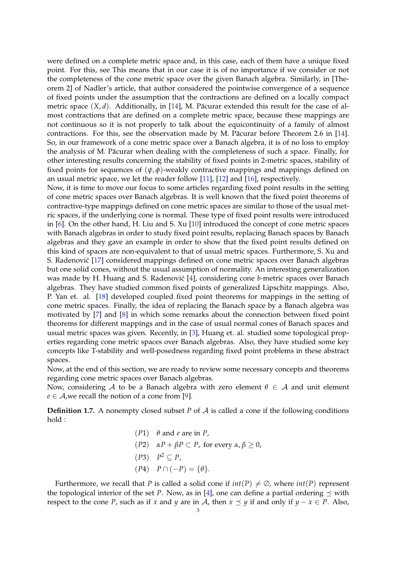were defined on a complete metric space and, in this case, each of them have a unique fixed point. For this, see This means that in our case it is of no importance if we consider or not the completeness of the cone metric space over the given Banach algebra. Similarly, in [Theorem 2] of Nadler's article, that author considered the pointwise convergence of a sequence of fixed points under the assumption that the contractions are defined on a locally compact metric space  $(X, d)$ . Additionally, in [\[14\]](#page-25-4), M. Păcurar extended this result for the case of almost contractions that are defined on a complete metric space, because these mappings are not continuous so it is not properly to talk about the equicontinuity of a family of almost contractions. For this, see the observation made by M. Păcurar before Theorem 2.6 in [\[14\]](#page-25-4). So, in our framework of a cone metric space over a Banach algebra, it is of no loss to employ the analysis of M. Păcurar when dealing with the completeness of such a space. Finally, for other interesting results concerning the stability of fixed points in 2-metric spaces, stability of fixed points for sequences of (*ψ*, *φ*)-weakly contractive mappings and mappings defined on an usual metric space, we let the reader follow [\[11\]](#page-25-6), [\[12\]](#page-25-7) and [\[16\]](#page-25-8), respectively.

Now, it is time to move our focus to some articles regarding fixed point results in the setting of cone metric spaces over Banach algebras. It is well known that the fixed point theorems of contractive-type mappings defined on cone metric spaces are similar to those of the usual metric spaces, if the underlying cone is normal. These type of fixed point results were introduced in [\[6\]](#page-25-9). On the other hand, H. Liu and S. Xu [\[10\]](#page-25-1) introduced the concept of cone metric spaces with Banach algebras in order to study fixed point results, replacing Banach spaces by Banach algebras and they gave an example in order to show that the fixed point results defined on this kind of spaces are non-equivalent to that of usual metric spaces. Furthermore, S. Xu and S. Radenović [\[17\]](#page-25-10) considered mappings defined on cone metric spaces over Banach algebras but one solid cones, without the usual assumption of normality. An interesting generalization was made by H. Huang and S. Radenović [\[4\]](#page-25-11), considering cone *b*-metric spaces over Banach algebras. They have studied common fixed points of generalized Lipschitz mappings. Also, P. Yan et. al. [\[18\]](#page-25-12) developed coupled fixed point theorems for mappings in the setting of cone metric spaces. Finally, the idea of replacing the Banach space by a Banach algebra was motivated by [\[7\]](#page-25-13) and [\[8\]](#page-25-14) in which some remarks about the connection between fixed point theorems for different mappings and in the case of usual normal cones of Banach spaces and usual metric spaces was given. Recently, in [\[3\]](#page-25-0), Huang et. al. studied some topological properties regarding cone metric spaces over Banach algebras. Also, they have studied some key concepts like T-stability and well-posedness regarding fixed point problems in these abstract spaces.

Now, at the end of this section, we are ready to review some necessary concepts and theorems regarding cone metric spaces over Banach algebras.

Now, considering A to be a Banach algebra with zero element  $\theta \in A$  and unit element  $e \in A$ , we recall the notion of a cone from [\[9\]](#page-25-15).

**Definition 1.7.** A nonempty closed subset *P* of A is called a cone if the following conditions hold :

> (*P*1) *θ* and *e* are in *P*, (*P*2) *αP* + *βP* ⊂ *P*, for every *α*, *β* ≥ 0,  $(P3)$   $P^2 \subseteq P$ ,  $(P4)$   $P \cap (-P) = \{\theta\}.$

Furthermore, we recall that *P* is called a solid cone if  $int(P) \neq \emptyset$ , where  $int(P)$  represent the topological interior of the set *P*. Now, as in [\[4\]](#page-25-11), one can define a partial ordering  $\prec$  with respect to the cone *P*, such as if *x* and *y* are in *A*, then  $x \leq y$  if and only if  $y - x \in P$ . Also,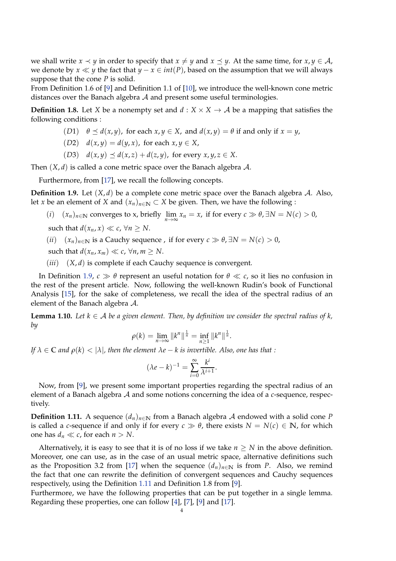we shall write  $x \prec y$  in order to specify that  $x \neq y$  and  $x \prec y$ . At the same time, for  $x, y \in A$ , we denote by *x*  $\ll$  *y* the fact that *y* − *x*  $\in$  *int*(*P*), based on the assumption that we will always suppose that the cone *P* is solid.

From Definition 1.6 of [\[9\]](#page-25-15) and Definition 1.1 of [\[10\]](#page-25-1), we introduce the well-known cone metric distances over the Banach algebra A and present some useful terminologies.

**Definition 1.8.** Let *X* be a nonempty set and  $d : X \times X \rightarrow A$  be a mapping that satisfies the following conditions :

- (*D*1)  $\theta \le d(x, y)$ , for each  $x, y \in X$ , and  $d(x, y) = \theta$  if and only if  $x = y$ ,
- (*D2*)  $d(x, y) = d(y, x)$ , for each  $x, y \in X$ ,
- (*D3*)  $d(x,y) \prec d(x,z) + d(z,y)$ , for every  $x, y, z \in X$ .

Then  $(X, d)$  is called a cone metric space over the Banach algebra A.

Furthermore, from [\[17\]](#page-25-10), we recall the following concepts.

<span id="page-3-0"></span>**Definition 1.9.** Let  $(X, d)$  be a complete cone metric space over the Banach algebra A. Also, let *x* be an element of *X* and  $(x_n)_{n\in\mathbb{N}}\subset X$  be given. Then, we have the following :

(*i*) (*x<sub>n</sub>*)*n*∈**N** converges to x, briefly  $\lim_{n\to\infty} x_n = x$ , if for every *c* ≫  $\theta$ , ∃*N* = *N*(*c*) > 0,

such that  $d(x_n, x) \ll c$ ,  $\forall n \geq N$ .

(*ii*) (*xn*)*n*∈**<sup>N</sup>** is a Cauchy sequence , if for every *c* ≫ *θ*, ∃*N* = *N*(*c*) > 0,

such that  $d(x_n, x_m) \ll c$ ,  $\forall n, m \ge N$ .

(*iii*) (*X*, *d*) is complete if each Cauchy sequence is convergent.

In Definition [1.9,](#page-3-0)  $c \gg \theta$  represent an useful notation for  $\theta \ll c$ , so it lies no confusion in the rest of the present article. Now, following the well-known Rudin's book of Functional Analysis [\[15\]](#page-25-16), for the sake of completeness, we recall the idea of the spectral radius of an element of the Banach algebra A.

**Lemma 1.10.** Let  $k \in A$  be a given element. Then, by definition we consider the spectral radius of k, *by*

$$
\rho(k) = \lim_{n \to \infty} ||k^n||^{\frac{1}{n}} = \inf_{n \ge 1} ||k^n||^{\frac{1}{n}}.
$$

*If*  $\lambda \in \mathbb{C}$  *and*  $\rho(k) < |\lambda|$ *, then the element*  $\lambda e - k$  *is invertible. Also, one has that :* 

$$
(\lambda e - k)^{-1} = \sum_{i=0}^{\infty} \frac{k^i}{\lambda^{i+1}}.
$$

Now, from [\[9\]](#page-25-15), we present some important properties regarding the spectral radius of an element of a Banach algebra A and some notions concerning the idea of a *c*-sequence, respectively.

<span id="page-3-1"></span>**Definition 1.11.** A sequence  $(d_n)_{n \in \mathbb{N}}$  from a Banach algebra A endowed with a solid cone P is called a *c*-sequence if and only if for every  $c \gg \theta$ , there exists  $N = N(c) \in \mathbb{N}$ , for which one has  $d_n \ll c$ , for each  $n > N$ .

Alternatively, it is easy to see that it is of no loss if we take  $n \geq N$  in the above definition. Moreover, one can use, as in the case of an usual metric space, alternative definitions such as the Proposition 3.2 from [\[17\]](#page-25-10) when the sequence  $(d_n)_{n\in\mathbb{N}}$  is from *P*. Also, we remind the fact that one can rewrite the definition of convergent sequences and Cauchy sequences respectively, using the Definition [1.11](#page-3-1) and Definition 1.8 from [\[9\]](#page-25-15).

Furthermore, we have the following properties that can be put together in a single lemma. Regarding these properties, one can follow [\[4\]](#page-25-11), [\[7\]](#page-25-13), [\[9\]](#page-25-15) and [\[17\]](#page-25-10).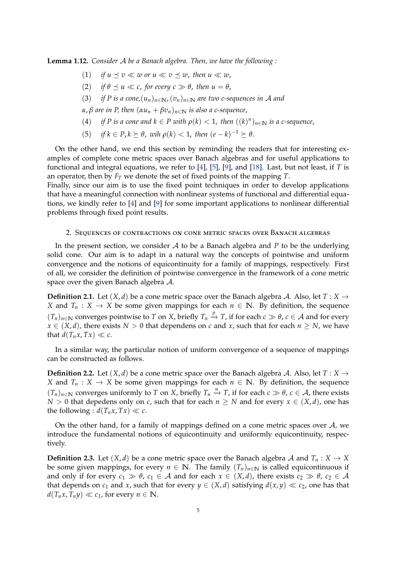<span id="page-4-0"></span>**Lemma 1.12.** *Consider* A *be a Banach algebra. Then, we have the following :*

- (1) *if*  $u \preceq v \ll w$  or  $u \ll v \preceq w$ , then  $u \ll w$ ,
- (2) *if*  $\theta \prec u \ll c$ , for every  $c \gg \theta$ , then  $u = \theta$ ,
- (3) *if P is a cone,* $(u_n)_{n \in \mathbb{N}}$ ,  $(v_n)_{n \in \mathbb{N}}$  are two c-sequences in A and
- *α*, *β are in P, then* (*αu<sup>n</sup>* + *βvn*)*n*∈**<sup>N</sup>** *is also a c-sequence*,
- (4) *if P* is a cone and  $k \in P$  with  $\rho(k) < 1$ , then  $((k)^n)_{n \in \mathbb{N}}$  is a c-sequence,
- (5) *if*  $k \in P, k \succeq \theta$ , *wih*  $\rho(k) < 1$ , *then*  $(e k)^{-1} \succeq \theta$ .

On the other hand, we end this section by reminding the readers that for interesting examples of complete cone metric spaces over Banach algebras and for useful applications to functional and integral equations, we refer to [\[4\]](#page-25-11), [\[5\]](#page-25-17), [\[9\]](#page-25-15), and [\[18\]](#page-25-12). Last, but not least, if *T* is an operator, then by *F<sup>T</sup>* we denote the set of fixed points of the mapping *T*.

Finally, since our aim is to use the fixed point techniques in order to develop applications that have a meaningful connection with nonlinear systems of functional and differential equations, we kindly refer to [\[4\]](#page-25-11) and [\[9\]](#page-25-15) for some important applications to nonlinear differential problems through fixed point results.

### 2. Sequences of contractions on cone metric spaces over Banach algebras

In the present section, we consider A to be a Banach algebra and *P* to be the underlying solid cone. Our aim is to adapt in a natural way the concepts of pointwise and uniform convergence and the notions of equicontinuity for a family of mappings, respectively. First of all, we consider the definition of pointwise convergence in the framework of a cone metric space over the given Banach algebra A.

**Definition 2.1.** Let  $(X, d)$  be a cone metric space over the Banach algebra A. Also, let  $T : X \rightarrow Y$ *X* and  $T_n$  : *X*  $\rightarrow$  *X* be some given mappings for each  $n \in \mathbb{N}$ . By definition, the sequence  $(T_n)_{n \in \mathbb{N}}$  converges pointwise to *T* on *X*, briefly  $T_n \stackrel{p}{\to} T$ , if for each  $c \gg \theta$ ,  $c \in \mathcal{A}$  and for every  $x \in (X, d)$ , there exists  $N > 0$  that dependens on *c* and *x*, such that for each  $n \ge N$ , we have that  $d(T_n x, Tx) \ll c$ .

In a similar way, the particular notion of uniform convergence of a sequence of mappings can be constructed as follows.

**Definition 2.2.** Let  $(X, d)$  be a cone metric space over the Banach algebra A. Also, let  $T : X \rightarrow Y$ *X* and  $T_n$  : *X*  $\rightarrow$  *X* be some given mappings for each  $n \in \mathbb{N}$ . By definition, the sequence  $(T_n)_{n \in \mathbb{N}}$  converges uniformly to *T* on *X*, briefly  $T_n$   $\stackrel{u}{\to}$  *T*, if for each  $c \gg \theta$ ,  $c \in \mathcal{A}$ , there exists *N* > 0 that depedens only on *c*, such that for each  $n \geq N$  and for every  $x \in (X, d)$ , one has the following :  $d(T_n x, Tx) \ll c$ .

On the other hand, for a family of mappings defined on a cone metric spaces over  $A$ , we introduce the fundamental notions of equicontinuity and uniformly equicontinuity, respectively.

**Definition 2.3.** Let  $(X, d)$  be a cone metric space over the Banach algebra A and  $T_n : X \to X$ be some given mappings, for every  $n \in \mathbb{N}$ . The family  $(T_n)_{n \in \mathbb{N}}$  is called equicontinuous if and only if for every  $c_1 \gg \theta$ ,  $c_1 \in A$  and for each  $x \in (X, d)$ , there exists  $c_2 \gg \theta$ ,  $c_2 \in A$ that depends on  $c_1$  and  $x$ , such that for every  $y \in (X, d)$  satisfying  $d(x, y) \ll c_2$ , one has that  $d(T_n x, T_n y) \ll c_1$ , for every  $n \in \mathbb{N}$ .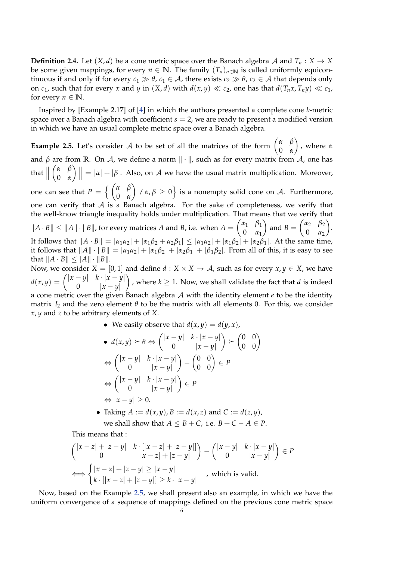**Definition 2.4.** Let  $(X, d)$  be a cone metric space over the Banach algebra A and  $T_n : X \to X$ be some given mappings, for every  $n \in \mathbb{N}$ . The family  $(T_n)_{n \in \mathbb{N}}$  is called uniformly equicontinuous if and only if for every  $c_1 \gg \theta$ ,  $c_1 \in A$ , there exists  $c_2 \gg \theta$ ,  $c_2 \in A$  that depends only on  $c_1$ , such that for every *x* and *y* in  $(X, d)$  with  $d(x, y) \ll c_2$ , one has that  $d(T_n x, T_n y) \ll c_1$ , for every  $n \in \mathbb{N}$ .

Inspired by [Example 2.17] of [\[4\]](#page-25-11) in which the authors presented a complete cone *b*-metric space over a Banach algebra with coefficient *s* = 2, we are ready to present a modified version in which we have an usual complete metric space over a Banach algebra.

<span id="page-5-0"></span>**Example 2.5.** Let's consider A to be set of all the matrices of the form  $\begin{pmatrix} \alpha & \beta \\ 0 & \alpha \end{pmatrix}$ 0 *α* , where *α* and  $\beta$  are from **R**. On  $\mathcal{A}$ , we define a norm  $\|\cdot\|$ , such as for every matrix from  $\mathcal{A}$ , one has that  $\parallel$  *α β* 0 *α*  $\left\{ \left. \right\} \right\} = |\alpha| + |\beta|.$  Also, on A we have the usual matrix multiplication. Moreover, one can see that  $P = \left\{ \begin{pmatrix} \alpha & \beta \\ 0 & \alpha \end{pmatrix} \right\}$ 0 *α*  $\Big\{ \int \chi(\alpha,\beta) \geq 0 \Big\}$  is a nonempty solid cone on A. Furthermore, one can verify that  $A$  is a Banach algebra. For the sake of completeness, we verify that the well-know triangle inequality holds under multiplication. That means that we verify that  $||A \cdot B|| \le ||A|| \cdot ||B||$ , for every matrices *A* and *B*, i.e. when  $A = \begin{pmatrix} \alpha_1 & \beta_1 \\ 0 & \alpha_2 \end{pmatrix}$ 0 *α*<sup>1</sup> and  $B = \begin{pmatrix} \alpha_2 & \beta_2 \\ 0 & \alpha \end{pmatrix}$ 0 *α*<sup>2</sup> . It follows that  $||A \cdot B|| = |\alpha_1 \alpha_2| + |\alpha_1 \beta_2 + \alpha_2 \beta_1| \le |\alpha_1 \alpha_2| + |\alpha_1 \beta_2| + |\alpha_2 \beta_1|$ . At the same time, it follows that  $||A|| \cdot ||B|| = |\alpha_1 \alpha_2| + |\alpha_1 \beta_2| + |\alpha_2 \beta_1| + |\beta_1 \beta_2|$ . From all of this, it is easy to see that  $||A \cdot B|| \leq |A|| \cdot ||B||$ . Now, we consider  $X = [0, 1]$  and define  $d : X \times X \to A$ , such as for every  $x, y \in X$ , we have

 $d(x,y) = \begin{pmatrix} |x-y| & k \cdot |x-y| \\ 0 & |x-y| \end{pmatrix}$ 0 |*x* − *y*| ), where  $k \geq 1$ . Now, we shall validate the fact that *d* is indeed a cone metric over the given Banach algebra A with the identity element *e* to be the identity matrix *I*<sub>2</sub> and the zero element  $\theta$  to be the matrix with all elements 0. For this, we consider *x*, *y* and *z* to be arbitrary elements of *X*.

• We easily observe that 
$$
d(x, y) = d(y, x)
$$
,

• 
$$
d(x,y) \ge \theta \Leftrightarrow \begin{pmatrix} |x-y| & k \cdot |x-y| \\ 0 & |x-y| \end{pmatrix} \ge \begin{pmatrix} 0 & 0 \\ 0 & 0 \end{pmatrix}
$$
  
\n $\Leftrightarrow \begin{pmatrix} |x-y| & k \cdot |x-y| \\ 0 & |x-y| \end{pmatrix} - \begin{pmatrix} 0 & 0 \\ 0 & 0 \end{pmatrix} \in P$   
\n $\Leftrightarrow \begin{pmatrix} |x-y| & k \cdot |x-y| \\ 0 & |x-y| \end{pmatrix} \in P$   
\n $\Leftrightarrow |x-y| \ge 0.$ 

• Taking  $A := d(x, y)$ ,  $B := d(x, z)$  and  $C := d(z, y)$ , we shall show that  $A \leq B + C$ , i.e.  $B + C - A \in P$ .

This means that :

$$
\begin{pmatrix} |x-z|+|z-y| & k \cdot [|x-z|+|z-y|] \\ 0 & |x-z|+|z-y| \end{pmatrix} - \begin{pmatrix} |x-y| & k \cdot |x-y| \\ 0 & |x-y| \end{pmatrix} \in P
$$
  

$$
\Longleftrightarrow \begin{cases} |x-z|+|z-y| \ge |x-y| \\ k \cdot [|x-z|+|z-y|] \ge k \cdot |x-y| \end{cases}
$$
, which is valid.

Now, based on the Example [2.5,](#page-5-0) we shall present also an example, in which we have the uniform convergence of a sequence of mappings defined on the previous cone metric space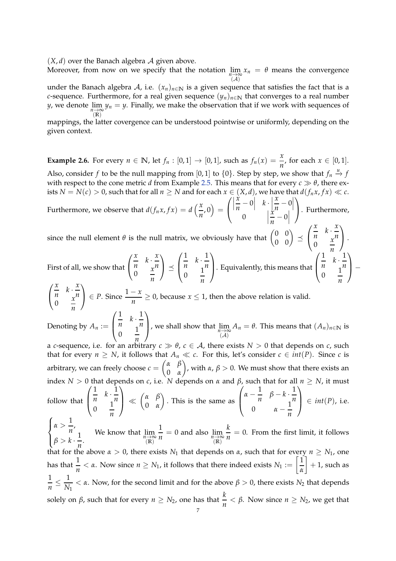$(X, d)$  over the Banach algebra  $A$  given above.

Moreover, from now on we specify that the notation  $\lim\limits_{n\to\infty}x_n\ =\ \theta$  means the convergence  $(\mathcal{A})$ 

under the Banach algebra A, i.e.  $(x_n)_{n \in \mathbb{N}}$  is a given sequence that satisfies the fact that is a *c*-sequence. Furthermore, for a real given sequence  $(y_n)_{n\in\mathbb{N}}$  that converges to a real number *y,* we denote  $\lim\limits_{n \to \infty} y_n = y$ . Finally, we make the observation that if we work with sequences of  $\tilde{R}$ <sup> $\tilde{R}$ </sup>

mappings, the latter covergence can be understood pointwise or uniformly, depending on the given context.

<span id="page-6-0"></span>**Example 2.6.** For every  $n \in \mathbb{N}$ , let  $f_n : [0,1] \to [0,1]$ , such as  $f_n(x) = \frac{x}{n}$ , for each  $x \in [0,1]$ . Also, consider  $f$  to be the null mapping from [0,1] to {0}. Step by step, we show that  $f_n \stackrel{u}{\rightarrow} f$ with respect to the cone metric *d* from Example [2.5.](#page-5-0) This means that for every  $c \gg \theta$ , there exists *N* = *N*(*c*) > 0, such that for all  $n \geq N$  and for each  $x \in (X, d)$ , we have that  $d(f_n x, fx) \ll c$ . Furthermore, we observe that  $d(f_n x, fx) = d\left(\frac{x}{x}\right)$  $\left(\frac{x}{n},0\right) =$  $\sqrt{ }$  $\mathcal{L}$  *x*  $\left| \frac{x}{n} - 0 \right|$  $\left| k \cdot \right|$ *x*  $\left| \frac{x}{n} - 0 \right|$  $\begin{array}{ccc} 0 & & \end{array}$ *x*  $\left| \frac{x}{n} - 0 \right|$  $\setminus$ . Furthermore, since the null element  $\theta$  is the null matrix, we obviously have that  $\begin{pmatrix} 0 & 0 \\ 0 & 0 \end{pmatrix} \preceq$  $\sqrt{ }$  $\mathcal{L}$ *x*  $\frac{x}{n}$   $k \cdot \frac{x}{n}$ *n*  $\begin{matrix} 0 & x \\ 0 & \frac{x}{x} \end{matrix}$ *n*  $\setminus$  $\vert \cdot$ First of all, we show that  $\sqrt{ }$  $\mathcal{L}$ *x*  $\frac{x}{n}$   $k \cdot \frac{x}{n}$ *n*  $\begin{matrix} 0 & x \\ 0 & \frac{x}{x} \end{matrix}$ *n*  $\setminus$  $\vert \preceq$  $\sqrt{ }$  $\overline{\phantom{a}}$ 1  $\frac{1}{n}$   $k \cdot \frac{1}{n}$ *n*  $\begin{matrix} 0 & \frac{1}{2} \end{matrix}$ *n*  $\setminus$ . Equivalently, this means that  $\sqrt{ }$  $\left\lfloor \right\rfloor$ 1  $\frac{1}{n}$   $k \cdot \frac{1}{n}$ *n*  $\begin{matrix} 0 & \frac{1}{2} \end{matrix}$ *n*  $\setminus$  $\Bigg\}$  $\sqrt{ }$  $\mathcal{L}$ *x*  $\frac{x}{n}$   $k \cdot \frac{x}{n}$ *n*  $\begin{matrix} 0 & x \\ 0 & \frac{x}{x} \end{matrix}$ *n*  $\left($  ∈ *P*. Since  $\frac{1-x}{n}$  ≥ 0, because *x* ≤ 1, then the above relation is valid. Denoting by  $A_n :=$  $\sqrt{ }$  $\left\lfloor \right\rfloor$ 1  $\frac{1}{n}$   $k \cdot \frac{1}{n}$ *n*  $\begin{matrix} 0 & \frac{1}{2} \end{matrix}$ *n*  $\setminus$ , we shall show that  $\lim_{\substack{n \to \infty \\ (A)}}$  $A_n = \theta$ . This means that  $(A_n)_{n \in \mathbb{N}}$  is a *c*-sequence, i.e. for an arbitrary  $c \gg \theta$ ,  $c \in A$ , there exists  $N > 0$  that depends on *c*, such that for every  $n \geq N$ , it follows that  $A_n \ll c$ . For this, let's consider  $c \in int(P)$ . Since *c* is arbitrary, we can freely choose  $c = \begin{pmatrix} \alpha & \beta \\ 0 & \alpha \end{pmatrix}$ 0 *α* ), with  $\alpha$ ,  $\beta > 0$ . We must show that there exists an index *N* > 0 that depends on *c*, i.e. *N* depends on *α* and *β*, such that for all *n* ≥ *N*, it must follow that  $\sqrt{ }$  $\overline{\mathcal{L}}$ 1  $\frac{1}{n}$   $k \cdot \frac{1}{n}$ *n*  $\begin{matrix} 0 & 1 \\ 0 & \end{matrix}$ *n*  $\setminus$  $\Big\} \ll \begin{pmatrix} \alpha & \beta \\ 0 & \alpha \end{pmatrix}$ 0 *α* . This is the same as  $\sqrt{ }$  $\left\lfloor \right\rfloor$  $\alpha - \frac{1}{n}$  $\frac{1}{n}$  *β* − *k* ·  $\frac{1}{n}$ *n* 0  $\alpha - \frac{1}{n}$ *n*  $\setminus$  $\Big\} \in int(P)$ , i.e.  $\sqrt{ }$  $\int$  $\overline{\mathcal{L}}$  $\alpha > \frac{1}{2}$  $\frac{1}{n}$ ,  $\beta > k \cdot \frac{1}{n}$ . We know that  $\lim_{\substack{n \to \infty \\ n \ge 1}}$ that for the above  $\alpha > 0$ , there exists  $N_1$  that depends on  $\alpha$ , such that for every  $n \ge N_1$ , one 1  $\frac{1}{n} = 0$  and also  $\lim_{\substack{n \to \infty \\ f(R)}}$ *k*  $\frac{\pi}{n} = 0$ . From the first limit, it follows has that  $\frac{1}{n} < \alpha$ . Now since  $n \ge N_1$ , it follows that there indeed exists  $N_1 := \left[\frac{1}{\alpha}\right]$ *α*  $+ 1$ , such as 1  $\frac{1}{n} \leq \frac{1}{N}$  $\frac{1}{N_1}$  < *α*. Now, for the second limit and for the above *β* > 0, there exists *N*<sub>2</sub> that depends solely on *β*, such that for every *n* ≥ *N*<sub>2</sub>, one has that  $\frac{k}{n}$  < *β*. Now since *n* ≥ *N*<sub>2</sub>, we get that 7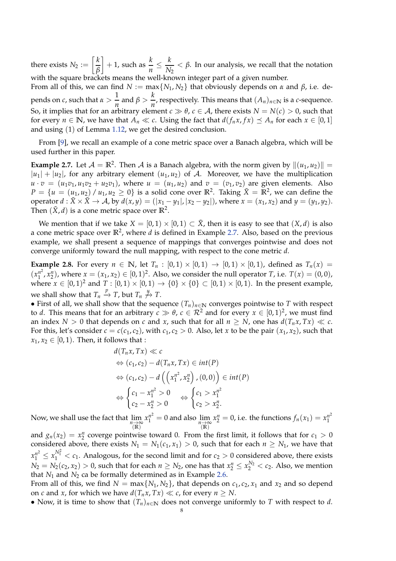there exists  $N_2 := \left\lceil \frac{k}{\rho} \right\rceil$ *β*  $\left] + 1$ , such as  $\frac{k}{n} \leq \frac{k}{N}$ *N*<sup>2</sup>  $<$  *β*. In our analysis, we recall that the notation with the square brackets means the well-known integer part of a given number.

From all of this, we can find  $N := max\{N_1, N_2\}$  that obviously depends on  $\alpha$  and  $\beta$ , i.e. depends on *c*, such that  $\alpha > \frac{1}{2}$  $\frac{1}{n}$  and  $\beta > \frac{k}{n}$  $\frac{n}{n}$ , respectively. This means that  $(A_n)_{n \in \mathbb{N}}$  is a *c*-sequence. So, it implies that for an arbitrary element  $c \gg \theta$ ,  $c \in A$ , there exists  $N = N(c) > 0$ , such that for every  $n \in \mathbb{N}$ , we have that  $A_n \ll c$ . Using the fact that  $d(f_n x, fx) \leq A_n$  for each  $x \in [0, 1]$ and using (1) of Lemma [1.12,](#page-4-0) we get the desired conclusion.

From [\[9\]](#page-25-15), we recall an example of a cone metric space over a Banach algebra, which will be used further in this paper.

<span id="page-7-0"></span>**Example 2.7.** Let  $\mathcal{A} = \mathbb{R}^2$ . Then  $\mathcal{A}$  is a Banach algebra, with the norm given by  $\|(u_1, u_2)\|$  =  $|u_1| + |u_2|$ , for any arbitrary element  $(u_1, u_2)$  of A. Moreover, we have the multiplication  $u \cdot v = (u_1v_1, u_1v_2 + u_2v_1)$ , where  $u = (u_1, u_2)$  and  $v = (v_1, v_2)$  are given elements. Also  $P = \{u = (u_1, u_2) / u_1, u_2 \ge 0\}$  is a solid cone over  $\mathbb{R}^2$ . Taking  $\tilde{X} = \mathbb{R}^2$ , we can define the operator  $d : \tilde{X} \times \tilde{X} \to A$ , by  $d(x, y) = (|x_1 - y_1|, |x_2 - y_2|)$ , where  $x = (x_1, x_2)$  and  $y = (y_1, y_2)$ . Then  $(\tilde{X}, d)$  is a cone metric space over  $\mathbb{R}^2$ .

We mention that if we take  $X = [0, 1) \times [0, 1) \subset \tilde{X}$ , then it is easy to see that  $(X, d)$  is also a cone metric space over  $\mathbb{R}^2$ , where *d* is defined in Example [2.7.](#page-7-0) Also, based on the previous example, we shall present a sequence of mappings that converges pointwise and does not converge uniformly toward the null mapping, with respect to the cone metric *d*.

**Example 2.8.** For every  $n \in \mathbb{N}$ , let  $T_n : [0,1) \times [0,1) \rightarrow [0,1) \times [0,1)$ , defined as  $T_n(x) =$  $(x_1^{n^2})$  $\binom{n^2}{1}$ ,  $x_1^n$ ), where  $x = (x_1, x_2) \in [0, 1)^2$ . Also, we consider the null operator *T*, i.e.  $T(x) = (0, 0)$ , where  $x\in [0,1)^2$  and  $T:[0,1)\times [0,1)\to \{0\}\times \{0\}\subset [0,1)\times [0,1).$  In the present example, we shall show that  $T_n \stackrel{p}{\to} T$ , but  $T_n \not \stackrel{u}{\to} T$ .

• First of all, we shall show that the sequence  $(T_n)_{n\in\mathbb{N}}$  converges pointwise to *T* with respect to *d*. This means that for an arbitrary  $c \gg \theta$ ,  $c \in \mathcal{R}^2$  and for every  $x \in [0,1)^2$ , we must find an index  $N > 0$  that depends on *c* and *x*, such that for all  $n \geq N$ , one has  $d(T_n x, Tx) \ll c$ . For this, let's consider  $c = c(c_1, c_2)$ , with  $c_1, c_2 > 0$ . Also, let *x* to be the pair  $(x_1, x_2)$ , such that  $x_1, x_2 \in [0, 1)$ . Then, it follows that :

$$
d(T_n x, Tx) \ll c
$$
  
\n
$$
\Leftrightarrow (c_1, c_2) - d(T_n x, Tx) \in int(P)
$$
  
\n
$$
\Leftrightarrow (c_1, c_2) - d\left(\left(x_1^{n^2}, x_2^n\right), (0, 0)\right) \in int(P)
$$
  
\n
$$
\Leftrightarrow \begin{cases} c_1 - x_1^{n^2} > 0 \\ c_2 - x_2^n > 0 \end{cases} \Leftrightarrow \begin{cases} c_1 > x_1^{n^2} \\ c_2 > x_2^n. \end{cases}
$$

Now, we shall use the fact that  $\lim\limits_{\substack{n \to \infty \ (|\mathbb{R}|^2)}}$  $x_1^{n^2} = 0$  and also  $\lim_{\substack{n \to \infty \\ (\mathbb{R})}}$  $x_2^n = 0$ , i.e. the functions  $f_n(x_1) = x_1^{n^2}$ 1

and  $g_n(x_2) = x_2^n$  coverge pointwise toward 0. From the first limit, it follows that for  $c_1 > 0$ considered above, there exists  $N_1 = N_1(c_1, x_1) > 0$ , such that for each  $n \ge N_1$ , we have that  $x_1^{n^2} \le x_1^{N_1^2} < c_1$ . Analogous, for the second limit and for  $c_2 > 0$  considered above, there exists  $N_2 = N_2(c_2, x_2) > 0$ , such that for each  $n \ge N_2$ , one has that  $x_2^n \le x_2^{N_2} < c_2$ . Also, we mention that  $N_1$  and  $N_2$  ca be formally determined as in Example [2.6.](#page-6-0)

From all of this, we find  $N = \max\{N_1, N_2\}$ , that depends on  $c_1, c_2, x_1$  and  $x_2$  and so depend on *c* and *x*, for which we have  $d(T_n x, Tx) \ll c$ , for every  $n \geq N$ .

• Now, it is time to show that  $(T_n)_{n \in \mathbb{N}}$  does not converge uniformly to *T* with respect to *d*.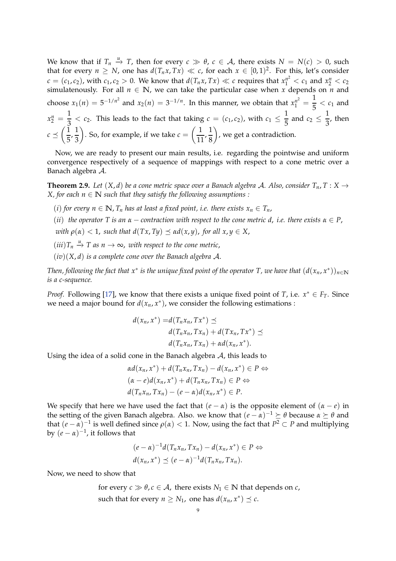We know that if  $T_n \stackrel{u}{\rightarrow} T$ , then for every  $c \gg \theta$ ,  $c \in \mathcal{A}$ , there exists  $N = N(c) > 0$ , such that for every  $n \geq N$ , one has  $d(T_n x, Tx) \ll c$ , for each  $x \in [0,1)^2$ . For this, let's consider  $c = (c_1, c_2)$ , with  $c_1, c_2 > 0$ . We know that  $d(T_n x, Tx) \ll c$  requires that  $x_1^{n^2} < c_1$  and  $x_2^n < c_2$ simulatenously. For all  $n \in \mathbb{N}$ , we can take the particular case when *x* depends on *n* and choose  $x_1(n) = 5^{-1/n^2}$  and  $x_2(n) = 3^{-1/n}$ . In this manner, we obtain that  $x_1^{n^2} = \frac{1}{5}$  $\frac{1}{5}$  <  $c_1$  and  $x_2^n = \frac{1}{3}$  $\frac{1}{3} < c_2$ . This leads to the fact that taking  $c = (c_1, c_2)$ , with  $c_1 \leq \frac{1}{5}$  $\frac{1}{5}$  and  $c_2 \leq \frac{1}{3}$  $\frac{1}{3}$ , then  $c \preceq \left(\frac{1}{\overline{c}}\right)$  $\frac{1}{5}, \frac{1}{3}$ 3 ). So, for example, if we take  $c = \left(\frac{1}{11}, \frac{1}{8}\right)$ 8 , we get a contradiction.

Now, we are ready to present our main results, i.e. regarding the pointwise and uniform convergence respectively of a sequence of mappings with respect to a cone metric over a Banach algebra A.

<span id="page-8-0"></span>**Theorem 2.9.** *Let*  $(X, d)$  *be a cone metric space over a Banach algebra A. Also, consider*  $T_n$ ,  $T: X \rightarrow$ *X*, for each  $n \in \mathbb{N}$  *such that they satisfy the following assumptions :* 

- (*i*) *for every*  $n \in \mathbb{N}$ ,  $T_n$  *has at least a fixed point, i.e. there exists*  $x_n \in T_n$ ,
- (*ii*) the operator T is an  $\alpha$  contraction with respect to the cone metric d, *i.e.* there exists  $\alpha \in P$ ,
- *with*  $\rho(\alpha) < 1$ , *such that*  $d(Tx, Ty) \prec \alpha d(x, y)$ , *for all*  $x, y \in X$ ,
- $(iii)$  $T_n \stackrel{u}{\rightarrow} T$  as  $n \rightarrow \infty$ , with respect to the cone metric,
- (*iv*)(*X*, *d*) *is a complete cone over the Banach algebra* A.

 $\tau$  Then, following the fact that  $x^*$  is the unique fixed point of the operator T, we have that  $(d(x_n,x^*))_{n\in\mathbb{N}}$ *is a c-sequence.*

*Proof.* Following [\[17\]](#page-25-10), we know that there exists a unique fixed point of *T*, i.e.  $x^* \in F_T$ . Since we need a major bound for  $d(x_n, x^*)$ , we consider the following estimations :

$$
d(x_n, x^*) = d(T_n x_n, Tx^*) \preceq
$$
  
\n
$$
d(T_n x_n, Tx_n) + d(T x_n, Tx^*) \preceq
$$
  
\n
$$
d(T_n x_n, Tx_n) + \alpha d(x_n, x^*).
$$

Using the idea of a solid cone in the Banach algebra  $A$ , this leads to

$$
\alpha d(x_n, x^*) + d(T_n x_n, Tx_n) - d(x_n, x^*) \in P \Leftrightarrow
$$
  
\n
$$
(\alpha - e) d(x_n, x^*) + d(T_n x_n, Tx_n) \in P \Leftrightarrow
$$
  
\n
$$
d(T_n x_n, Tx_n) - (e - \alpha) d(x_n, x^*) \in P.
$$

We specify that here we have used the fact that  $(e - \alpha)$  is the opposite element of  $(a - e)$  in the setting of the given Banach algebra. Also. we know that  $(e - \alpha)^{-1} \succeq \theta$  because  $\alpha \succeq \theta$  and that  $(e - \alpha)^{-1}$  is well defined since  $\rho(\alpha) < 1$ . Now, using the fact that  $P^2 \subset P$  and multiplying by  $(e - \alpha)^{-1}$ , it follows that

$$
(e-\alpha)^{-1}d(T_n x_n, Tx_n) - d(x_n, x^*) \in P \Leftrightarrow
$$
  

$$
d(x_n, x^*) \preceq (e-\alpha)^{-1}d(T_n x_n, Tx_n).
$$

Now, we need to show that

for every  $c \gg \theta$ ,  $c \in A$ , there exists  $N_1 \in \mathbb{N}$  that depends on *c*, such that for every  $n \geq N_1$ , one has  $d(x_n, x^*) \preceq c$ .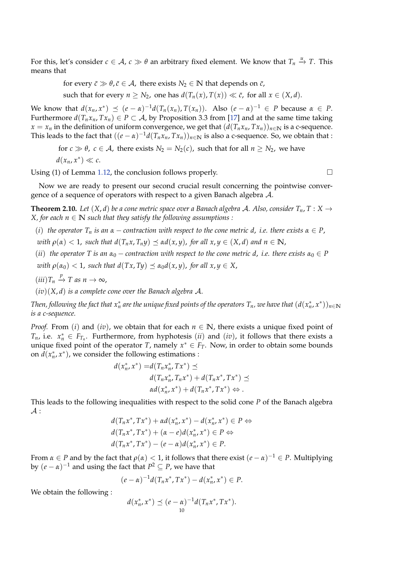For this, let's consider  $c \in A$ ,  $c \gg \theta$  an arbitrary fixed element. We know that  $T_n \stackrel{u}{\to} T$ . This means that

for every  $\bar{c} \gg \theta$ ,  $\bar{c} \in A$ , there exists  $N_2 \in \mathbb{N}$  that depends on  $\bar{c}$ ,

such that for every  $n \geq N_2$ , one has  $d(T_n(x), T(x)) \ll \bar{c}$ , for all  $x \in (X, d)$ .

We know that  $d(x_n, x^*)$   $\leq$   $(e - α)^{-1}d(T_n(x_n), T(x_n))$ . Also  $(e − α)^{-1} ∈ P$  because  $α ∈ P$ . Furthermore  $d(T_n x_n, Tx_n) \in P \subset A$ , by Proposition 3.3 from [\[17\]](#page-25-10) and at the same time taking *x* = *x<sub>n</sub>* in the definition of uniform convergence, we get that  $(d(T_n x_n, Tx_n))_{n \in \mathbb{N}}$  is a c-sequence. This leads to the fact that  $((e - \alpha)^{-1}d(T_n x_n, T x_n))_{n \in \mathbb{N}}$  is also a c-sequence. So, we obtain that :

for  $c \gg \theta$ ,  $c \in A$ , there exists  $N_2 = N_2(c)$ , such that for all  $n \ge N_2$ , we have  $d(x_n, x^*) \ll c$ .

Using (1) of Lemma [1.12,](#page-4-0) the conclusion follows properly.  $\Box$ 

Now we are ready to present our second crucial result concerning the pointwise convergence of a sequence of operators with respect to a given Banach algebra A.

<span id="page-9-0"></span>**Theorem 2.10.** *Let*  $(X, d)$  *be a cone metric space over a Banach algebra A. Also, consider*  $T_n$ ,  $T : X \rightarrow$ *X*, for each  $n \in \mathbb{N}$  *such that they satisfy the following assumptions :* 

- (*i*) *the operator*  $T_n$  *is an*  $\alpha$  *contraction with respect to the cone metric d, i.e. there exists*  $\alpha \in P$ , *with*  $\rho(\alpha) < 1$ , *such that*  $d(T_n x, T_n y) \preceq \alpha d(x, y)$ , *for all*  $x, y \in (X, d)$  *and*  $n \in \mathbb{N}$ ,
- (*ii*) the operator T is an  $\alpha_0$  contraction with respect to the cone metric d, *i.e.* there exists  $\alpha_0 \in P$ *with*  $\rho(\alpha_0) < 1$ , *such that*  $d(Tx, Ty) \preceq \alpha_0 d(x, y)$ , for all  $x, y \in X$ ,
- $(iii)$ *T<sub>n</sub>*  $\stackrel{p}{\to}$ *T as n*  $\to \infty$ ,

(*iv*)(*X*, *d*) *is a complete cone over the Banach algebra* A.

 $\pi$  *Then, following the fact that*  $x_n^*$  *are the unique fixed points of the operators*  $T_n$ *, we have that*  $(d(x_n^*,x^*))_{n\in\mathbb{N}}$ *is a c-sequence.*

*Proof.* From (*i*) and (*iv*), we obtain that for each  $n \in \mathbb{N}$ , there exists a unique fixed point of *T*<sub>*n*</sub>, i.e.  $x_n^* \in F_{T_n}$ . Furthermore, from hyphotesis (*ii*) and (*iv*), it follows that there exists a unique fixed point of the operator *T*, namely  $x^* \in F_T$ . Now, in order to obtain some bounds on  $d(x_n^*, x^*)$ , we consider the following estimations :

$$
d(x_n^*, x^*) = d(T_n x_n^*, Tx^*) \preceq
$$
  
\n
$$
d(T_n x_n^*, T_n x^*) + d(T_n x^*, Tx^*) \preceq
$$
  
\n
$$
\alpha d(x_n^*, x^*) + d(T_n x^*, Tx^*) \Leftrightarrow.
$$

This leads to the following inequalities with respect to the solid cone *P* of the Banach algebra  $\mathcal{A}$  :

$$
d(T_n x^*, Tx^*) + \alpha d(x_n^*, x^*) - d(x_n^*, x^*) \in P \Leftrightarrow
$$
  
\n
$$
d(T_n x^*, Tx^*) + (\alpha - e) d(x_n^*, x^*) \in P \Leftrightarrow
$$
  
\n
$$
d(T_n x^*, Tx^*) - (e - \alpha) d(x_n^*, x^*) \in P.
$$

From  $\alpha \in P$  and by the fact that  $\rho(\alpha) < 1$ , it follows that there exist  $(e - \alpha)^{-1} \in P$ . Multiplying by  $(e - \alpha)^{-1}$  and using the fact that  $P^2 \subseteq P$ , we have that

$$
(e - \alpha)^{-1} d(T_n x^*, T x^*) - d(x_n^*, x^*) \in P.
$$

We obtain the following :

$$
d(x_n^*, x^*) \le (e - \alpha)^{-1} d(T_n x^*, Tx^*).
$$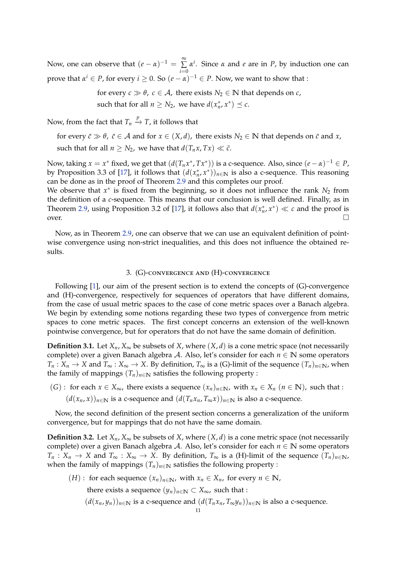Now, one can observe that  $(e - \alpha)^{-1} = \sum^{\infty}$ ∑ *α i* . Since *α* and *e* are in *P*, by induction one can *i*=0 prove that  $\alpha^i \in P$ , for every  $i \geq 0$ . So  $(e - \alpha)^{-1} \in P$ . Now, we want to show that :

> for every  $c \gg \theta$ ,  $c \in A$ , there exists  $N_2 \in \mathbb{N}$  that depends on *c*, such that for all  $n \geq N_2$ , we have  $d(x_n^*, x^*) \preceq c$ .

Now, from the fact that  $T_n \stackrel{p}{\rightarrow} T$ , it follows that

for every  $\bar{c} \gg \theta$ ,  $\bar{c} \in A$  and for  $x \in (X, d)$ , there exists  $N_2 \in \mathbb{N}$  that depends on  $\bar{c}$  and  $x$ , such that for all  $n \geq N_2$ , we have that  $d(T_n x, Tx) \ll \bar{c}$ .

Now, taking  $x = x^*$  fixed, we get that  $(d(T_n x^*, T x^*))$  is a c-sequence. Also, since  $(e - \alpha)^{-1} \in P$ , by Proposition 3.3 of [\[17\]](#page-25-10), it follows that  $(d(x_n^*, x^*))_{n \in \mathbb{N}}$  is also a c-sequence. This reasoning can be done as in the proof of Theorem [2.9](#page-8-0) and this completes our proof.

We observe that  $x^*$  is fixed from the beginning, so it does not influence the rank  $N_2$  from the definition of a *c*-sequence. This means that our conclusion is well defined. Finally, as in Theorem [2.9,](#page-8-0) using Proposition 3.2 of [\[17\]](#page-25-10), it follows also that  $d(x_n^*, x^*) \ll c$  and the proof is over.  $\Box$ 

Now, as in Theorem [2.9,](#page-8-0) one can observe that we can use an equivalent definition of pointwise convergence using non-strict inequalities, and this does not influence the obtained results.

### 3. (G)-convergence and (H)-convergence

Following [\[1\]](#page-25-5), our aim of the present section is to extend the concepts of (G)-convergence and (H)-convergence, respectively for sequences of operators that have different domains, from the case of usual metric spaces to the case of cone metric spaces over a Banach algebra. We begin by extending some notions regarding these two types of convergence from metric spaces to cone metric spaces. The first concept concerns an extension of the well-known pointwise convergence, but for operators that do not have the same domain of definition.

**Definition 3.1.** Let  $X_n$ ,  $X_\infty$  be subsets of *X*, where  $(X, d)$  is a cone metric space (not necessarily complete) over a given Banach algebra A. Also, let's consider for each *n* ∈ **N** some operators *T*<sup>*n*</sup> : *X*<sup>*n*</sup> → *X* and *T*<sup>∞</sup> : *X*<sup>∞</sup> → *X*. By definition, *T*<sup>∞</sup> is a (G)-limit of the sequence  $(T_n)_{n \in \mathbb{N}}$ , when the family of mappings  $(T_n)_{n \in \mathbb{N}}$  satisfies the following property :

(*G*) : for each  $x \in X_\infty$ , there exists a sequence  $(x_n)_{n \in \mathbb{N}}$ , with  $x_n \in X_n$  ( $n \in \mathbb{N}$ ), such that :  $(d(x_n, x))_{n \in \mathbb{N}}$  is a c-sequence and  $(d(T_n x_n, T_\infty x))_{n \in \mathbb{N}}$  is also a c-sequence.

Now, the second definition of the present section concerns a generalization of the uniform convergence, but for mappings that do not have the same domain.

**Definition 3.2.** Let  $X_n$ ,  $X_\infty$  be subsets of *X*, where  $(X, d)$  is a cone metric space (not necessarily complete) over a given Banach algebra A. Also, let's consider for each *n* ∈ **N** some operators  $T_n: X_n \to X$  and  $T_\infty: X_\infty \to X$ . By definition,  $T_\infty$  is a (H)-limit of the sequence  $(T_n)_{n\in\mathbb{N}}$ , when the family of mappings  $(T_n)_{n \in \mathbb{N}}$  satisfies the following property :

(*H*) : for each sequence  $(x_n)_{n \in \mathbb{N}}$ , with  $x_n \in X_n$ , for every  $n \in \mathbb{N}$ , there exists a sequence  $(y_n)_{n \in \mathbb{N}} \subset X_\infty$ , such that :  $(d(x_n, y_n))_{n \in \mathbb{N}}$  is a c-sequence and  $(d(T_n x_n, T_{\infty} y_n))_{n \in \mathbb{N}}$  is also a c-sequence.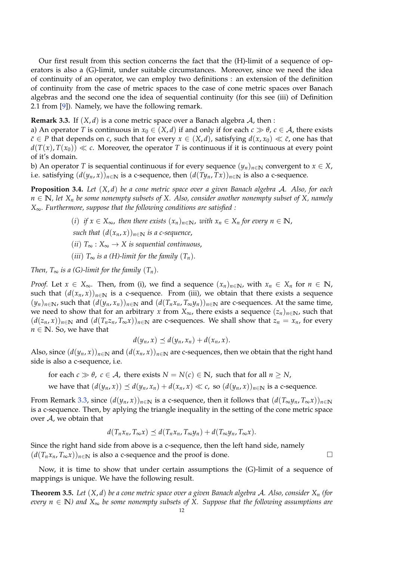Our first result from this section concerns the fact that the (H)-limit of a sequence of operators is also a (G)-limit, under suitable circumstances. Moreover, since we need the idea of continuity of an operator, we can employ two definitions : an extension of the definition of continuity from the case of metric spaces to the case of cone metric spaces over Banach algebras and the second one the idea of sequential continuity (for this see (iii) of Definition 2.1 from [\[9\]](#page-25-15)). Namely, we have the following remark.

<span id="page-11-0"></span>**Remark 3.3.** If  $(X, d)$  is a cone metric space over a Banach algebra  $A$ , then :

a) An operator *T* is continuous in  $x_0 \in (X, d)$  if and only if for each  $c \gg \theta$ ,  $c \in A$ , there exists *c*∈ *P* that depends on *c*, such that for every *x* ∈ (*X*, *d*), satisfying  $d(x, x_0) \ll c$ , one has that  $d(T(x), T(x_0)) \ll c$ . Moreover, the operator *T* is continuous if it is continuous at every point of it's domain.

b) An operator *T* is sequential continuous if for every sequence  $(y_n)_{n\in\mathbb{N}}$  convergent to  $x \in X$ , i.e. satisfying  $(d(y_n, x))_{n \in \mathbb{N}}$  is a c-sequence, then  $(d(Ty_n, Tx))_{n \in \mathbb{N}}$  is also a c-sequence.

**Proposition 3.4.** *Let* (*X*, *d*) *be a cone metric space over a given Banach algebra* A*. Also, for each n* ∈ **N***, let X<sup>n</sup> be some nonempty subsets of X. Also, consider another nonempty subset of X, namely X*∞*. Furthermore, suppose that the following conditions are satisfied :*

- (*i*) *if x* ∈ *X*∞, *then there exists* (*xn*)*n*∈**N**, *with x<sup>n</sup>* ∈ *X<sup>n</sup> for every n* ∈ **N**,
- *such that*  $(d(x_n, x))_{n \in \mathbb{N}}$  *is a c-sequence,*
- (*ii*) *T*<sup>∞</sup> : *X*<sup>∞</sup> → *X is sequential continuous*,
- (*iii*)  $T_{\infty}$  *is a* (*H*)-limit for the family  $(T_n)$ .

*Then,*  $T_{\infty}$  *is a (G)-limit for the family*  $(T_n)$ *.* 

*Proof.* Let  $x \in X_\infty$ . Then, from (i), we find a sequence  $(x_n)_{n \in \mathbb{N}}$ , with  $x_n \in X_n$  for  $n \in \mathbb{N}$ , such that  $(d(x_n, x))_{n\in\mathbb{N}}$  is a c-sequence. From (iii), we obtain that there exists a sequence  $(y_n)_{n \in \mathbb{N}}$ , such that  $(d(y_n, x_n))_{n \in \mathbb{N}}$  and  $(d(T_n x_n, T_{\infty} y_n))_{n \in \mathbb{N}}$  are c-sequences. At the same time, we need to show that for an arbitrary *x* from  $X_{\infty}$ , there exists a sequence  $(z_n)_{n \in \mathbb{N}}$ , such that  $(d(z_n, x))_{n \in \mathbb{N}}$  and  $(d(T_n z_n, T_\infty x))_{n \in \mathbb{N}}$  are c-sequences. We shall show that  $z_n = x_n$ , for every  $n \in \mathbb{N}$ . So, we have that

$$
d(y_n,x) \preceq d(y_n,x_n) + d(x_n,x).
$$

Also, since  $(d(y_n, x))_{n \in \mathbb{N}}$  and  $(d(x_n, x))_{n \in \mathbb{N}}$  are c-sequences, then we obtain that the right hand side is also a c-sequence, i.e.

for each  $c \gg \theta$ ,  $c \in A$ , there exists  $N = N(c) \in \mathbb{N}$ , such that for all  $n \geq N$ ,

we have that 
$$
(d(y_n, x)) \preceq d(y_n, x_n) + d(x_n, x) \ll c
$$
, so  $(d(y_n, x))_{n \in \mathbb{N}}$  is a c-sequence.

From Remark [3.3,](#page-11-0) since  $(d(y_n, x))_{n \in \mathbb{N}}$  is a c-sequence, then it follows that  $(d(T_{\infty}y_n, T_{\infty}x))_{n \in \mathbb{N}}$ is a c-sequence. Then, by aplying the triangle inequality in the setting of the cone metric space over  $A$ , we obtain that

$$
d(T_n x_n, T_\infty x) \preceq d(T_n x_n, T_\infty y_n) + d(T_\infty y_n, T_\infty x).
$$

Since the right hand side from above is a c-sequence, then the left hand side, namely  $(d(T_n x_n, T_\infty x))_{n \in \mathbb{N}}$  is also a c-sequence and the proof is done.

Now, it is time to show that under certain assumptions the (G)-limit of a sequence of mappings is unique. We have the following result.

**Theorem 3.5.** *Let* (*X*, *d*) *be a cone metric space over a given Banach algebra* A*. Also, consider X<sup>n</sup> (for every n* ∈ **N***) and X*<sup>∞</sup> *be some nonempty subsets of X. Suppose that the following assumptions are*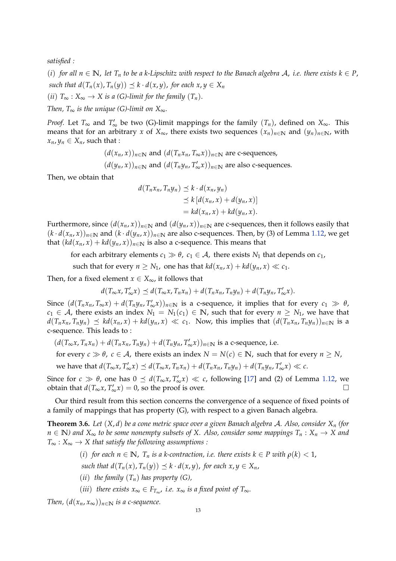*satisfied :*

(*i*) for all  $n \in \mathbb{N}$ , let  $T_n$  to be a k-Lipschitz with respect to the Banach algebra A, *i.e.* there exists  $k \in P$ , *such that*  $d(T_n(x), T_n(y)) \leq k \cdot d(x, y)$ *, for each*  $x, y \in X_n$ (*ii*)  $T_{\infty}$  :  $X_{\infty} \to X$  *is a* (*G*)-limit for the family  $(T_n)$ .

*Then, T*<sup>∞</sup> *is the unique (G)-limit on*  $X_{\infty}$ *.* 

*Proof.* Let  $T_{\infty}$  and  $T'_{\infty}$  be two (G)-limit mappings for the family  $(T_n)$ , defined on  $X_{\infty}$ . This means that for an arbitrary *x* of  $X_{\infty}$ , there exists two sequences  $(x_n)_{n \in \mathbb{N}}$  and  $(y_n)_{n \in \mathbb{N}}$ , with  $x_n, y_n \in X_n$ , such that :

> $(d(x_n, x))_{n \in \mathbb{N}}$  and  $(d(T_n x_n, T_\infty x))_{n \in \mathbb{N}}$  are c-sequences,  $(d(y_n, x))_{n \in \mathbb{N}}$  and  $(d(T_n y_n, T'_\infty x))_{n \in \mathbb{N}}$  are also c-sequences.

Then, we obtain that

$$
d(T_n x_n, T_n y_n) \preceq k \cdot d(x_n, y_n)
$$
  
\n
$$
\preceq k [d(x_n, x) + d(y_n, x)]
$$
  
\n
$$
= kd(x_n, x) + kd(y_n, x).
$$

Furthermore, since  $(d(x_n, x))_{n \in \mathbb{N}}$  and  $(d(y_n, x))_{n \in \mathbb{N}}$  are c-sequences, then it follows easily that  $(k \cdot d(x_n, x))_{n \in \mathbb{N}}$  and  $(k \cdot d(y_n, x))_{n \in \mathbb{N}}$  are also c-sequences. Then, by (3) of Lemma [1.12,](#page-4-0) we get that  $(kd(x_n, x) + kd(y_n, x))_{n \in \mathbb{N}}$  is also a c-sequence. This means that

for each arbitrary elements  $c_1 \gg \theta$ ,  $c_1 \in \mathcal{A}$ , there exists  $N_1$  that depends on  $c_1$ ,

such that for every  $n \geq N_1$ , one has that  $kd(x_n, x) + kd(y_n, x) \ll c_1$ .

Then, for a fixed element  $x \in X_{\infty}$ , it follows that

 $d(T_\infty x, T'_\infty x) \preceq d(T_\infty x, T_n x_n) + d(T_n x_n, T_n y_n) + d(T_n y_n, T'_\infty x).$ 

Since  $(d(T_n x_n, T_\infty x) + d(T_n y_n, T'_\infty x))_{n \in \mathbb{N}}$  is a c-sequence, it implies that for every  $c_1 \gg \theta$ , *c*<sub>1</sub> ∈ *A*, there exists an index  $N_1 = N_1(c_1)$  ∈ **N**, such that for every  $n \geq N_1$ , we have that  $d(T_n x_n, T_n y_n) \preceq kd(x_n, x) + kd(y_n, x) \ll c_1$ . Now, this implies that  $(d(T_n x_n, T_n y_n))_{n \in \mathbb{N}}$  is a c-sequence. This leads to :

 $(d(T_{\infty}x, T_n x_n) + d(T_n x_n, T_n y_n) + d(T_n y_n, T'_{\infty}x))_{n \in \mathbb{N}}$  is a c-sequence, i.e.

for every  $c \gg \theta$ ,  $c \in A$ , there exists an index  $N = N(c) \in \mathbb{N}$ , such that for every  $n \ge N$ ,

we have that  $d(T_{\infty}x, T'_{\infty}x) \preceq d(T_{\infty}x, T_nx_n) + d(T_nx_n, T_ny_n) + d(T_ny_n, T'_{\infty}x) \ll c$ .

Since for  $c \gg \theta$ , one has  $0 \leq d(T_{\infty}x, T'_{\infty}x) \ll c$ , following [\[17\]](#page-25-10) and (2) of Lemma [1.12,](#page-4-0) we obtain that  $d(T_\infty x, T'_\infty x) = 0$ , so the proof is over. □

Our third result from this section concerns the convergence of a sequence of fixed points of a family of mappings that has property (G), with respect to a given Banach algebra.

<span id="page-12-0"></span>**Theorem 3.6.** *Let* (*X*, *d*) *be a cone metric space over a given Banach algebra* A*. Also, consider X<sup>n</sup> (for*  $n \in \mathbb{N}$ *) and*  $X_{\infty}$  to be some nonempty subsets of X. Also, consider some mappings  $T_n : X_n \to X$  and *T*<sup>∞</sup> : *X*<sup>∞</sup> → *X that satisfy the following assumptions :*

(i) for each 
$$
n \in \mathbb{N}
$$
,  $T_n$  is a k-contraction, i.e. there exists  $k \in P$  with  $\rho(k) < 1$ ,

*such that*  $d(T_n(x), T_n(y)) \preceq k \cdot d(x, y)$ *, for each*  $x, y \in X_n$ *,* 

- (*ii*) *the family*  $(T_n)$  *has property*  $(G)$ ,
- (*iii*) *there exists*  $x_{\infty}$  ∈  $F_{T_{\infty}}$ , *i.e.*  $x_{\infty}$  *is a fixed point of*  $T_{\infty}$ *.*

*Then,*  $(d(x_n, x_\infty))_{n \in \mathbb{N}}$  *is a c-sequence.*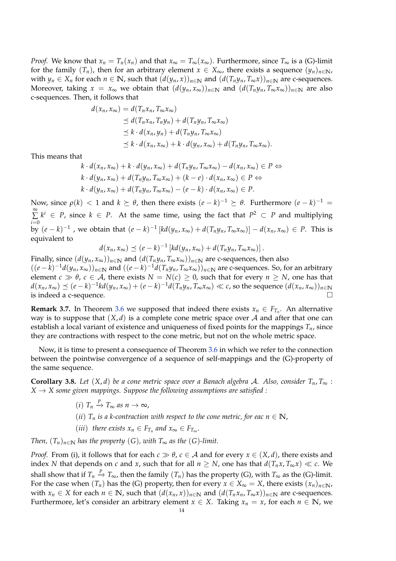*Proof.* We know that  $x_n = T_n(x_n)$  and that  $x_\infty = T_\infty(x_\infty)$ . Furthermore, since  $T_\infty$  is a (G)-limit for the family  $(T_n)$ , then for an arbitrary element  $x \in X_\infty$ , there exists a sequence  $(y_n)_{n \in \mathbb{N}}$ , with  $y_n \in X_n$  for each  $n \in \mathbb{N}$ , such that  $(d(y_n, x))_{n \in \mathbb{N}}$  and  $(d(T_n y_n, T_\infty x))_{n \in \mathbb{N}}$  are c-sequences. Moreover, taking  $x = x_\infty$  we obtain that  $(d(y_n, x_\infty))_{n \in \mathbb{N}}$  and  $(d(T_n y_n, T_\infty x_\infty))_{n \in \mathbb{N}}$  are also c-sequences. Then, it follows that

$$
d(x_n, x_\infty) = d(T_n x_n, T_\infty x_\infty)
$$
  
\n
$$
\leq d(T_n x_n, T_n y_n) + d(T_n y_n, T_\infty x_\infty)
$$
  
\n
$$
\leq k \cdot d(x_n, y_n) + d(T_n y_n, T_\infty x_\infty)
$$
  
\n
$$
\leq k \cdot d(x_n, x_\infty) + k \cdot d(y_n, x_\infty) + d(T_n y_n, T_\infty x_\infty).
$$

This means that

$$
k \cdot d(x_n, x_\infty) + k \cdot d(y_n, x_\infty) + d(T_n y_n, T_\infty x_\infty) - d(x_n, x_\infty) \in P \Leftrightarrow
$$
  
\n
$$
k \cdot d(y_n, x_\infty) + d(T_n y_n, T_\infty x_\infty) + (k - e) \cdot d(x_n, x_\infty) \in P \Leftrightarrow
$$
  
\n
$$
k \cdot d(y_n, x_\infty) + d(T_n y_n, T_\infty x_\infty) - (e - k) \cdot d(x_n, x_\infty) \in P.
$$

Now, since  $ρ(k) < 1$  and  $k ≥ θ$ , then there exists  $(e - k)^{-1} ≥ θ$ . Furthermore  $(e - k)^{-1} =$ ∞  $\sum k^i \in P$ , since  $k \in P$ . At the same time, using the fact that  $P^2 \subset P$  and multiplying *i*=0 by  $(e-k)^{-1}$  , we obtain that  $(e-k)^{-1}$   $[kd(y_n,x_\infty)+d(T_ny_n,T_\infty x_\infty)]-d(x_n,x_\infty) \in P$ . This is equivalent to

$$
d(x_n,x_\infty)\preceq (e-k)^{-1}\left[kd(y_n,x_\infty)+d(T_ny_n,T_\infty x_\infty)\right].
$$

Finally, since  $(d(y_n, x_\infty))_{n \in \mathbb{N}}$  and  $(d(T_n y_n, T_\infty x_\infty))_{n \in \mathbb{N}}$  are c-sequences, then also  $((e-k)^{-1}d(y_n,x_\infty))_{n\in\mathbb{N}}$  and  $((e-k)^{-1}d(T_ny_n,T_\infty x_\infty))_{n\in\mathbb{N}}$  are c-sequences. So, for an arbitrary element  $c \gg \theta$ ,  $c \in A$ , there exists  $N = N(c) \ge 0$ , such that for every  $n \ge N$ , one has that  $d(x_n,x_\infty)\preceq(e-k)^{-1}kd(y_n,x_\infty)+(e-k)^{-1}d(T_ny_n,T_\infty x_\infty)\ll c$ , so the sequence  $(d(x_n,x_\infty))_{n\in\mathbb{N}}$ is indeed a c-sequence.

**Remark 3.7.** In Theorem [3.6](#page-12-0) we supposed that indeed there exists  $x_n \in F_{T_n}$ . An alternative way is to suppose that  $(X, d)$  is a complete cone metric space over A and after that one can establish a local variant of existence and uniqueness of fixed points for the mappings  $T_n$ , since they are contractions with respect to the cone metric, but not on the whole metric space.

Now, it is time to present a consequence of Theorem [3.6](#page-12-0) in which we refer to the connection between the pointwise convergence of a sequence of self-mappings and the (G)-property of the same sequence.

**Corollary 3.8.** *Let*  $(X, d)$  *be a cone metric space over a Banach algebra A. Also, consider*  $T_n, T_\infty$  :  $X \rightarrow X$  some given mappings. Suppose the following assumptions are satisfied :

- $(i)$   $T_n \stackrel{p}{\rightarrow} T_\infty$  *as*  $n \rightarrow \infty$ ,
- (*ii*)  $T_n$  *is a k-contraction with respect to the cone metric, for eac*  $n \in \mathbb{N}$ *,*
- (*iii*) *there exists*  $x_n \in F_{T_n}$  *and*  $x_\infty \in F_{T_\infty}$ .

*Then,*  $(T_n)_{n \in \mathbb{N}}$  *has the property*  $(G)$ *, with*  $T_\infty$  *as the*  $(G)$ *-limit.* 

*Proof.* From (i), it follows that for each  $c \gg \theta$ ,  $c \in A$  and for every  $x \in (X, d)$ , there exists and index *N* that depends on *c* and *x*, such that for all  $n \geq N$ , one has that  $d(T_n x, T_\infty x) \ll c$ . We shall show that if  $T_n \stackrel{p}{\to} T_\infty$ , then the family  $(T_n)$  has the property (G), with  $T_\infty$  as the (G)-limit. For the case when  $(T_n)$  has the (G) property, then for every  $x \in X_\infty = X$ , there exists  $(x_n)_{n \in \mathbb{N}}$ , with  $x_n \in X$  for each  $n \in \mathbb{N}$ , such that  $(d(x_n, x))_{n \in \mathbb{N}}$  and  $(d(T_n x_n, T_\infty x))_{n \in \mathbb{N}}$  are c-sequences. Furthermore, let's consider an arbitrary element  $x \in X$ . Taking  $x_n = x$ , for each  $n \in \mathbb{N}$ , we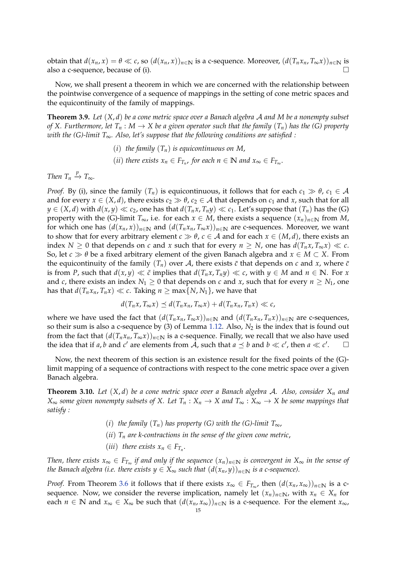obtain that  $d(x_n, x) = \theta \ll c$ , so  $(d(x_n, x))_{n \in \mathbb{N}}$  is a c-sequence. Moreover,  $(d(T_n x_n, T_\infty x))_{n \in \mathbb{N}}$  is also a c-sequence, because of (i).  $\Box$ 

Now, we shall present a theorem in which we are concerned with the relationship between the pointwise convergence of a sequence of mappings in the setting of cone metric spaces and the equicontinuity of the family of mappings.

**Theorem 3.9.** *Let* (*X*, *d*) *be a cone metric space over a Banach algebra* A *and M be a nonempty subset of X. Furthermore, let*  $T_n$  :  $M \to X$  *be a given operator such that the family*  $(T_n)$  *has the (G) property with the (G)-limit T*∞*. Also, let's suppose that the following conditions are satisfied :*

> (*i*) *the family* (*Tn*) *is equicontinuous on M*, (*ii*) *there exists*  $x_n \in F_{T_n}$ , for each  $n \in \mathbb{N}$  and  $x_\infty \in F_{T_\infty}$ .

*Then*  $T_n \stackrel{p}{\rightarrow} T_\infty$ *.* 

*Proof.* By (i), since the family  $(T_n)$  is equicontinuous, it follows that for each  $c_1 \gg \theta$ ,  $c_1 \in \mathcal{A}$ and for every  $x \in (X, d)$ , there exists  $c_2 \gg \theta$ ,  $c_2 \in A$  that depends on  $c_1$  and  $x$ , such that for all *y* ∈ (*X*, *d*) with *d*(*x*, *y*) ≪ *c*<sub>2</sub>, one has that *d*(*T<sub>n</sub>x*, *T<sub>n</sub>y*) ≪ *c*<sub>1</sub>. Let's suppose that (*T<sub>n</sub>*) has the (*G*) property with the (G)-limit  $T_{\infty}$ , i.e. for each  $x \in M$ , there exists a sequence  $(x_n)_{n \in \mathbb{N}}$  from *M*, for which one has  $(d(x_n, x))_{n \in \mathbb{N}}$  and  $(d(T_n x_n, T_\infty x))_{n \in \mathbb{N}}$  are c-sequences. Moreover, we want to show that for every arbitrary element  $c \gg \theta$ ,  $c \in A$  and for each  $x \in (M, d)$ , there exists an index *N* > 0 that depends on *c* and *x* such that for every  $n > N$ , one has  $d(T_n x, T_\infty x) \ll c$ . So, let  $c \gg \theta$  be a fixed arbitrary element of the given Banach algebra and  $x \in M \subset X$ . From the equicontinuity of the family  $(T_n)$  over A, there exists  $\bar{c}$  that depends on c and x, where  $\bar{c}$ is from *P*, such that  $d(x, y) \ll \bar{c}$  implies that  $d(T_n x, T_n y) \ll c$ , with  $y \in M$  and  $n \in \mathbb{N}$ . For *x* and *c*, there exists an index  $N_1 \geq 0$  that depends on *c* and *x*, such that for every  $n \geq N_1$ , one has that  $d(T_n x_n, T_n x) \ll c$ . Taking  $n \ge \max\{N, N_1\}$ , we have that

$$
d(T_n x, T_\infty x) \preceq d(T_n x_n, T_\infty x) + d(T_n x_n, T_n x) \ll c,
$$

where we have used the fact that  $(d(T_n x_n, T_\infty x))_{n\in\mathbb{N}}$  and  $(d(T_n x_n, T_n x))_{n\in\mathbb{N}}$  are c-sequences, so their sum is also a c-sequence by (3) of Lemma [1.12.](#page-4-0) Also,  $N_2$  is the index that is found out from the fact that  $(d(T_n x_n, T_\infty x))_{n\in\mathbb{N}}$  is a c-sequence. Finally, we recall that we also have used the idea that if *a*, *b* and *c*' are elements from  $\overline{A}$ , such that  $a \preceq b$  and  $b \ll c'$ , then  $a \ll c'$  $\Box$ 

Now, the next theorem of this section is an existence result for the fixed points of the (G) limit mapping of a sequence of contractions with respect to the cone metric space over a given Banach algebra.

**Theorem 3.10.** *Let* (*X*, *d*) *be a cone metric space over a Banach algebra* A*. Also, consider X<sup>n</sup> and X*<sup>∞</sup> *some given nonempty subsets of X. Let*  $T_n$  :  $X_n$  → *X* and  $T_\infty$  :  $X_\infty$  → *X* be some mappings that *satisfy :*

- (*i*) *the family*  $(T_n)$  *has property* (*G*) *with the* (*G*)-*limit*  $T_{\infty}$ *,*
- (*ii*) *T<sup>n</sup> are k-contractions in the sense of the given cone metric*,
- (*iii*) *there exists*  $x_n \in F_{T_n}$ .

*Then, there exists x*<sup>∞</sup> ∈ *FT*<sup>∞</sup> *if and only if the sequence* (*xn*)*n*∈**<sup>N</sup>** *is convergent in X*<sup>∞</sup> *in the sense of the Banach algebra (i.e. there exists*  $y \in X_\infty$  *such that*  $(d(x_n, y))_{n \in \mathbb{N}}$  *is a c-sequence).* 

*Proof.* From Theorem [3.6](#page-12-0) it follows that if there exists  $x_\infty \in F_{T_\infty}$ , then  $(d(x_n, x_\infty))_{n\in\mathbb{N}}$  is a csequence. Now, we consider the reverse implication, namely let  $(x_n)_{n\in\mathbb{N}}$ , with  $x_n \in X_n$  for each  $n \in \mathbb{N}$  and  $x_{\infty} \in X_{\infty}$  be such that  $(d(x_n, x_{\infty}))_{n \in \mathbb{N}}$  is a c-sequence. For the element  $x_{\infty}$ ,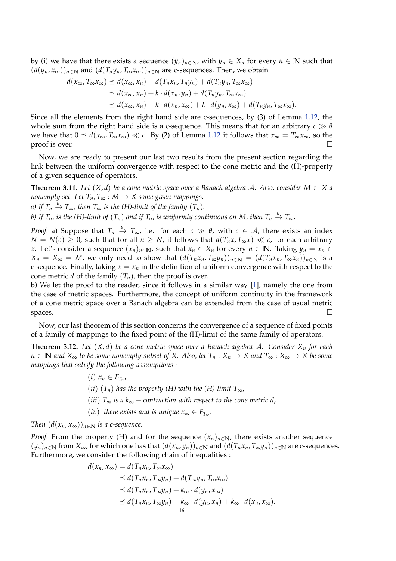by (i) we have that there exists a sequence  $(y_n)_{n \in \mathbb{N}}$ , with  $y_n \in X_n$  for every  $n \in \mathbb{N}$  such that  $(d(y_n, x_\infty))_{n\in\mathbb{N}}$  and  $(d(T_n y_n, T_\infty x_\infty))_{n\in\mathbb{N}}$  are c-sequences. Then, we obtain

$$
d(x_{\infty}, T_{\infty}x_{\infty}) \preceq d(x_{\infty}, x_n) + d(T_n x_n, T_n y_n) + d(T_n y_n, T_{\infty}x_{\infty})
$$
  
\n
$$
\preceq d(x_{\infty}, x_n) + k \cdot d(x_n, y_n) + d(T_n y_n, T_{\infty}x_{\infty})
$$
  
\n
$$
\preceq d(x_{\infty}, x_n) + k \cdot d(x_n, x_{\infty}) + k \cdot d(y_n, x_{\infty}) + d(T_n y_n, T_{\infty}x_{\infty}).
$$

Since all the elements from the right hand side are c-sequences, by (3) of Lemma [1.12,](#page-4-0) the whole sum from the right hand side is a c-sequence. This means that for an arbitrary  $c \gg \theta$ we have that  $0 \le d(x_\infty, T_\infty, x_\infty) \ll c$ . By (2) of Lemma [1.12](#page-4-0) it follows that  $x_\infty = T_\infty, x_\infty$ , so the proof is over.  $\Box$ 

Now, we are ready to present our last two results from the present section regarding the link between the uniform convergence with respect to the cone metric and the (H)-property of a given sequence of operators.

**Theorem 3.11.** *Let*  $(X, d)$  *be a cone metric space over a Banach algebra A. Also, consider*  $M \subset X$  *a nonempty set. Let*  $T_n$ ,  $T_\infty$  :  $M \to X$  *some given mappings.* 

*a)* If  $T_n \stackrel{u}{\rightarrow} T_\infty$ , then  $T_\infty$  is the (H)-limit of the family  $(T_n)$ .

*b)* If  $T_\infty$  is the (H)-limit of  $(T_n)$  and if  $T_\infty$  is uniformly continuous on M, then  $T_n \stackrel{u}{\to} T_\infty$ .

*Proof.* a) Suppose that  $T_n \stackrel{u}{\rightarrow} T_\infty$ , i.e. for each  $c \gg \theta$ , with  $c \in A$ , there exists an index *N* = *N*(*c*) ≥ 0, such that for all *n* ≥ *N*, it follows that  $d(T_n x, T_∞ x) \ll c$ , for each arbitrary *x*. Let's consider a sequence  $(x_n)_{n \in \mathbb{N}}$ , such that  $x_n \in X_n$  for every  $n \in \mathbb{N}$ . Taking  $y_n = x_n$  ∈  $X_n = X_\infty = M$ , we only need to show that  $(d(T_n x_n, T_\infty y_n))_{n \in \mathbb{N}} = (d(T_n x_n, T_\infty x_n))_{n \in \mathbb{N}}$  is a c-sequence. Finally, taking  $x = x_n$  in the definition of uniform convergence with respect to the cone metric *d* of the family  $(T_n)$ , then the proof is over.

b) We let the proof to the reader, since it follows in a similar way [\[1\]](#page-25-5), namely the one from the case of metric spaces. Furthermore, the concept of uniform continuity in the framework of a cone metric space over a Banach algebra can be extended from the case of usual metric spaces.  $\Box$ 

Now, our last theorem of this section concerns the convergence of a sequence of fixed points of a family of mappings to the fixed point of the (H)-limit of the same family of operators.

<span id="page-15-0"></span>**Theorem 3.12.** *Let* (*X*, *d*) *be a cone metric space over a Banach algebra* A*. Consider X<sup>n</sup> for each n* ∈ **N** and  $X_{\infty}$  to be some nonempty subset of X. Also, let  $T_n$  :  $X_n$  → X and  $T_{\infty}$  :  $X_{\infty}$  → X be some *mappings that satisfy the following assumptions :*

> $(i)$   $x_n \in F_{T_n}$ , (*ii*)  $(T_n)$  *has the property (H) with the (H)-limit*  $T_{\infty}$ , (*iii*)  $T_{\infty}$  *is a*  $k_{\infty}$  – *contraction with respect to the cone metric d,*  $(iv)$  *there exists and is unique*  $x_{\infty} \in F_{T_{\infty}}$ .

*Then*  $(d(x_n, x_\infty))_{n \in \mathbb{N}}$  *is a c-sequence.* 

*Proof.* From the property (H) and for the sequence  $(x_n)_{n\in\mathbb{N}}$ , there exists another sequence  $(y_n)_{n\in\mathbb{N}}$  from  $X_\infty$ , for which one has that  $(d(x_n,y_n))_{n\in\mathbb{N}}$  and  $(d(T_nx_n,T_\infty y_n))_{n\in\mathbb{N}}$  are c-sequences. Furthermore, we consider the following chain of inequalities :

$$
d(x_n, x_\infty) = d(T_n x_n, T_\infty x_\infty)
$$
  
\n
$$
\leq d(T_n x_n, T_\infty y_n) + d(T_\infty y_n, T_\infty x_\infty)
$$
  
\n
$$
\leq d(T_n x_n, T_\infty y_n) + k_\infty \cdot d(y_n, x_\infty)
$$
  
\n
$$
\leq d(T_n x_n, T_\infty y_n) + k_\infty \cdot d(y_n, x_n) + k_\infty \cdot d(x_n, x_\infty).
$$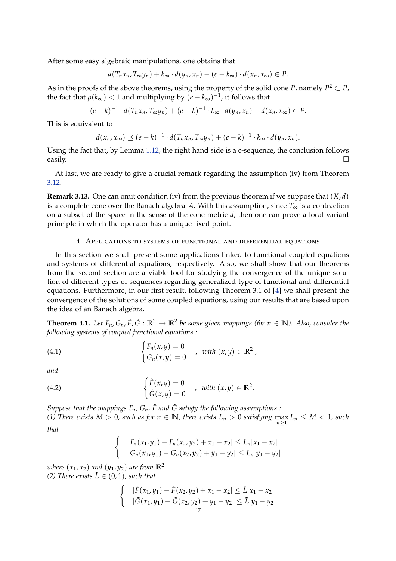After some easy algebraic manipulations, one obtains that

$$
d(T_n x_n, T_{\infty} y_n) + k_{\infty} \cdot d(y_n, x_n) - (e - k_{\infty}) \cdot d(x_n, x_{\infty}) \in P.
$$

As in the proofs of the above theorems, using the property of the solid cone *P*, namely  $P^2 \subset P$ , the fact that  $\rho(k_{\infty}) < 1$  and multiplying by  $(e - k_{\infty})^{-1}$ , it follows that

$$
(e-k)^{-1} \cdot d(T_n x_n, T_{\infty} y_n) + (e-k)^{-1} \cdot k_{\infty} \cdot d(y_n, x_n) - d(x_n, x_{\infty}) \in P.
$$

This is equivalent to

$$
d(x_n,x_\infty) \preceq (e-k)^{-1} \cdot d(T_nx_n,T_\infty y_n) + (e-k)^{-1} \cdot k_\infty \cdot d(y_n,x_n).
$$

Using the fact that, by Lemma [1.12,](#page-4-0) the right hand side is a c-sequence, the conclusion follows easily.  $\Box$ 

At last, we are ready to give a crucial remark regarding the assumption (iv) from Theorem [3.12.](#page-15-0)

**Remark 3.13.** One can omit condition (iv) from the previous theorem if we suppose that (*X*, *d*) is a complete cone over the Banach algebra A. With this assumption, since  $T_{\infty}$  is a contraction on a subset of the space in the sense of the cone metric *d*, then one can prove a local variant principle in which the operator has a unique fixed point.

#### 4. Applications to systems of functional and differential equations

In this section we shall present some applications linked to functional coupled equations and systems of differential equations, respectively. Also, we shall show that our theorems from the second section are a viable tool for studying the convergence of the unique solution of different types of sequences regarding generalized type of functional and differential equations. Furthermore, in our first result, following Theorem 3.1 of [\[4\]](#page-25-11) we shall present the convergence of the solutions of some coupled equations, using our results that are based upon the idea of an Banach algebra.

<span id="page-16-2"></span>**Theorem 4.1.** Let  $F_n$ ,  $G_n$ ,  $\tilde{F}$ ,  $\tilde{G}$  :  $\mathbb{R}^2 \to \mathbb{R}^2$  be some given mappings (for  $n \in \mathbb{N}$ ). Also, consider the *following systems of coupled functional equations :*

<span id="page-16-0"></span>(4.1) 
$$
\begin{cases} F_n(x,y) = 0 \\ G_n(x,y) = 0 \end{cases}
$$
, with  $(x,y) \in \mathbb{R}^2$ ,

*and*

(4.2) 
$$
\begin{cases} \tilde{F}(x,y) = 0 \\ \tilde{G}(x,y) = 0 \end{cases}
$$
, with  $(x,y) \in \mathbb{R}^2$ .

*Suppose that the mappings*  $F_n$ ,  $G_n$ ,  $\tilde{F}$  and  $\tilde{G}$  satisfy the following assumptions :

*(1) There exists*  $M > 0$ , such as for  $n \in \mathbb{N}$ , there exists  $L_n > 0$  satisfying  $\max_{n \geq 1} L_n \leq M < 1$ , such *that*

<span id="page-16-1"></span>
$$
\begin{cases} |F_n(x_1,y_1)-F_n(x_2,y_2)+x_1-x_2|\leq L_n|x_1-x_2|\\ |G_n(x_1,y_1)-G_n(x_2,y_2)+y_1-y_2|\leq L_n|y_1-y_2|\end{cases}
$$

*where*  $(x_1, x_2)$  *and*  $(y_1, y_2)$  *are from*  $\mathbb{R}^2$ *. (2) There exists*  $\tilde{L} \in (0,1)$ *, such that* 

$$
\begin{cases} & |\tilde{F}(x_1,y_1) - \tilde{F}(x_2,y_2) + x_1 - x_2| \leq \tilde{L}|x_1 - x_2| \\ & |\tilde{G}(x_1,y_1) - \tilde{G}(x_2,y_2) + y_1 - y_2| \leq \tilde{L}|y_1 - y_2| \end{cases}
$$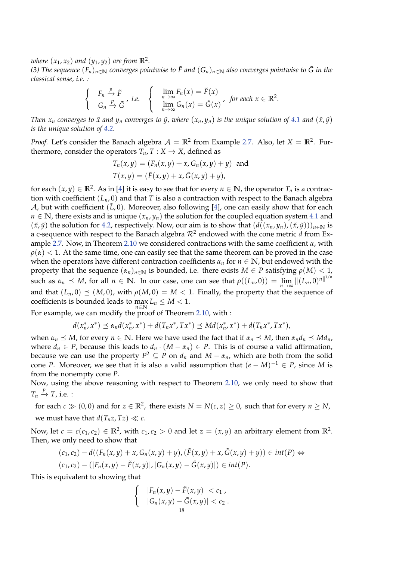*where*  $(x_1, x_2)$  *and*  $(y_1, y_2)$  *are from*  $\mathbb{R}^2$ *.* 

(3) The sequence  $(F_n)_{n\in\mathbb{N}}$  converges pointwise to  $\tilde{F}$  and  $(G_n)_{n\in\mathbb{N}}$  also converges pointwise to  $\tilde{G}$  in the *classical sense, i.e. :*

$$
\begin{cases}\nF_n \xrightarrow{p} \tilde{F} \\
G_n \xrightarrow{p} \tilde{G}\n\end{cases}, i.e. \quad\n\begin{cases}\n\lim_{n \to \infty} F_n(x) = \tilde{F}(x) \\
\lim_{n \to \infty} G_n(x) = \tilde{G}(x)\n\end{cases}, \text{ for each } x \in \mathbb{R}^2.
$$

*Then*  $x_n$  *converges to*  $\tilde{x}$  *and*  $y_n$  *converges to*  $\tilde{y}$ *, where*  $(x_n, y_n)$  *is the unique solution of* [4.1](#page-16-0) *and*  $(\tilde{x}, \tilde{y})$ *is the unique solution of [4.2.](#page-16-1)*

*Proof.* Let's consider the Banach algebra  $A = \mathbb{R}^2$  from Example [2.7.](#page-7-0) Also, let  $X = \mathbb{R}^2$ . Furthermore, consider the operators  $T_n$ ,  $T : X \to X$ , defined as

$$
T_n(x,y) = (F_n(x,y) + x, G_n(x,y) + y)
$$
 and  

$$
T(x,y) = (\tilde{F}(x,y) + x, \tilde{G}(x,y) + y),
$$

for each  $(x, y) \in \mathbb{R}^2$ . As in [\[4\]](#page-25-11) it is easy to see that for every  $n \in \mathbb{N}$ , the operator  $T_n$  is a contraction with coefficient (*Ln*, 0) and that *T* is also a contraction with respect to the Banach algebra A, but with coefficient  $(\tilde{L}, 0)$ . Moreover, also following [\[4\]](#page-25-11), one can easily show that for each  $n \in \mathbb{N}$ , there exists and is unique  $(x_n, y_n)$  the solution for the coupled equation system [4.1](#page-16-0) and  $(\tilde{x}, \tilde{y})$  the solution for [4.2,](#page-16-1) respectively. Now, our aim is to show that  $(d((x_n, y_n), (\tilde{x}, \tilde{y})))_{n \in \mathbb{N}}$  is a c-sequence with respect to the Banach algebra  $\mathcal{R}^2$  endowed with the cone metric  $d$  from Example [2.7.](#page-7-0) Now, in Theorem [2.10](#page-9-0) we considered contractions with the same coefficient *α*, with  $\rho(\alpha) < 1$ . At the same time, one can easily see that the same theorem can be proved in the case when the operators have different contraction coefficients  $\alpha_n$  for  $n \in \mathbb{N}$ , but endowed with the property that the sequence  $(\alpha_n)_{n\in\mathbb{N}}$  is bounded, i.e. there exists  $M \in P$  satisfying  $\rho(M) < 1$ , such as  $\alpha_n \preceq M$ , for all  $n \in \mathbb{N}$ . In our case, one can see that  $\rho((L_n, 0)) = \lim_{n \to \infty} ||(L_n, 0)^n||^{1/n}$ and that  $(L_n, 0) \preceq (M, 0)$ , with  $\rho(M, 0) = M < 1$ . Finally, the property that the sequence of coefficients is bounded leads to  $\max_{n \in \mathbb{N}} L_n \leq M < 1$ .

For example, we can modify the proof of Theorem [2.10,](#page-9-0) with :

$$
d(x_n^*, x^*) \preceq \alpha_n d(x_n^*, x^*) + d(T_n x^*, T x^*) \preceq M d(x_n^*, x^*) + d(T_n x^*, T x^*),
$$

when  $\alpha_n \preceq M$ , for every  $n \in \mathbb{N}$ . Here we have used the fact that if  $\alpha_n \preceq M$ , then  $\alpha_n d_n \preceq M d_n$ , where  $d_n \in P$ , because this leads to  $d_n \cdot (M - \alpha_n) \in P$ . This is of course a valid affirmation, because we can use the property  $P^2 \subseteq P$  on  $d_n$  and  $M - \alpha_n$ , which are both from the solid cone *P*. Moreover, we see that it is also a valid assumption that  $(e - M)^{-1} \in P$ , since *M* is from the nonempty cone *P*.

Now, using the above reasoning with respect to Theorem [2.10,](#page-9-0) we only need to show that  $T_n \stackrel{p}{\rightarrow} T$ , i.e. :

for each  $c \gg (0,0)$  and for  $z \in \mathbb{R}^2$ , there exists  $N = N(c,z) \geq 0$ , such that for every  $n \geq N$ , we must have that  $d(T_n z, Tz) \ll c$ .

Now, let  $c = c(c_1, c_2) \in \mathbb{R}^2$ , with  $c_1, c_2 > 0$  and let  $z = (x, y)$  an arbitrary element from  $\mathbb{R}^2$ . Then, we only need to show that

$$
(c_1,c_2)-d((F_n(x,y)+x,G_n(x,y)+y),(\tilde{F}(x,y)+x,\tilde{G}(x,y)+y))\in int(P) \Leftrightarrow
$$
  

$$
(c_1,c_2)-(|F_n(x,y)-\tilde{F}(x,y)|,|G_n(x,y)-\tilde{G}(x,y)|)\in int(P).
$$

This is equivalent to showing that

$$
\begin{cases}\n|F_n(x,y)-\tilde{F}(x,y)|< c_1, \\
|G_n(x,y)-\tilde{G}(x,y)|< c_2. \\
18\n\end{cases}
$$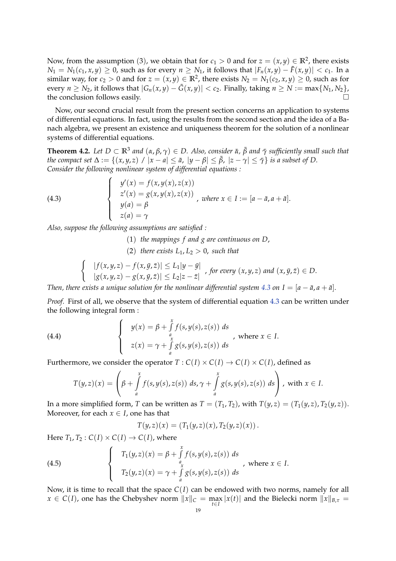Now, from the assumption (3), we obtain that for  $c_1 > 0$  and for  $z = (x, y) \in \mathbb{R}^2$ , there exists *N*<sub>1</sub> = *N*<sub>1</sub>( $c$ <sub>1</sub>,  $x$ ,  $y$ ) ≥ 0, such as for every  $n$  ≥ *N*<sub>1</sub>, it follows that  $|F_n(x, y) - \tilde{F}(x, y)| < c$ <sub>1</sub>. In a similar way, for  $c_2 > 0$  and for  $z = (x, y) \in \mathbb{R}^2$ , there exists  $N_2 = N_1(c_2, x, y) \ge 0$ , such as for every  $n \geq N_2$ , it follows that  $|G_n(x,y) - \tilde{G}(x,y)| < c_2$ . Finally, taking  $n \geq N := \max\{N_1, N_2\}$ , the conclusion follows easily.  $\Box$ 

Now, our second crucial result from the present section concerns an application to systems of differential equations. In fact, using the results from the second section and the idea of a Banach algebra, we present an existence and uniqueness theorem for the solution of a nonlinear systems of differential equations.

<span id="page-18-1"></span>**Theorem 4.2.** Let  $D \subset \mathbb{R}^3$  and  $(\alpha, \beta, \gamma) \in D$ . Also, consider  $\bar{\alpha}$ ,  $\bar{\beta}$  and  $\bar{\gamma}$  sufficiently small such that *the compact set*  $\Delta := \{(x, y, z) \mid |x - a| \leq \bar{a}, |y - \beta| \leq \bar{\beta}, |z - \gamma| \leq \bar{\gamma}\}\$ is a subset of D. *Consider the following nonlinear system of differential equations :*

(4.3)  

$$
\begin{cases}\ny'(x) = f(x, y(x), z(x)) \\
z'(x) = g(x, y(x), z(x)) \\
y(a) = \beta \\
z(a) = \gamma\n\end{cases}, where x \in I := [a - \bar{a}, a + \bar{a}].
$$

*Also, suppose the following assumptions are satisfied :*

- <span id="page-18-0"></span>(1) *the mappings f and g are continuous on D*,
- (2) *there exists*  $L_1, L_2 > 0$ *, such that*

$$
\begin{cases}\n|f(x,y,z)-f(x,\bar{y},\bar{z})| \le L_1|y-\bar{y}| \\
|g(x,y,z)-g(x,\bar{y},\bar{z})| \le L_2|z-\bar{z}| \n\end{cases}
$$
, for every  $(x,y,z)$  and  $(x,\bar{y},\bar{z}) \in D$ .

*Then, there exists a unique solution for the nonlinear differential system*  $4.3$  *on*  $I = [a - \bar{a}, a + \bar{a}]$ *.* 

*Proof.* First of all, we observe that the system of differential equation [4.3](#page-18-0) can be written under the following integral form :

(4.4) 
$$
\begin{cases} y(x) = \beta + \int_{a}^{x} f(s, y(s), z(s)) ds \\ z(x) = \gamma + \int_{a}^{x} g(s, y(s), z(s)) ds \end{cases}
$$
, where  $x \in I$ .

Furthermore, we consider the operator  $T : C(I) \times C(I) \rightarrow C(I) \times C(I)$ , defined as

$$
T(y,z)(x) = \left(\beta + \int_a^x f(s,y(s),z(s))\ ds, \gamma + \int_a^x g(s,y(s),z(s))\ ds\right), \text{ with } x \in I.
$$

In a more simplified form, *T* can be written as  $T = (T_1, T_2)$ , with  $T(y, z) = (T_1(y, z), T_2(y, z))$ . Moreover, for each  $x \in I$ , one has that

$$
T(y,z)(x) = (T_1(y,z)(x), T_2(y,z)(x)).
$$

Here  $T_1, T_2 : C(I) \times C(I) \rightarrow C(I)$ , where

(4.5) 
$$
\begin{cases}\nT_1(y,z)(x) = \beta + \int_a^x f(s,y(s),z(s)) ds \\
T_2(y,z)(x) = \gamma + \int_a^x g(s,y(s),z(s)) ds\n\end{cases}
$$
, where  $x \in I$ .

Now, it is time to recall that the space  $C(I)$  can be endowed with two norms, namely for all  $x \in C(I)$ , one has the Chebyshev norm  $||x||_C = \max_{t \in I} |x(t)|$  and the Bielecki norm  $||x||_{B,\tau} =$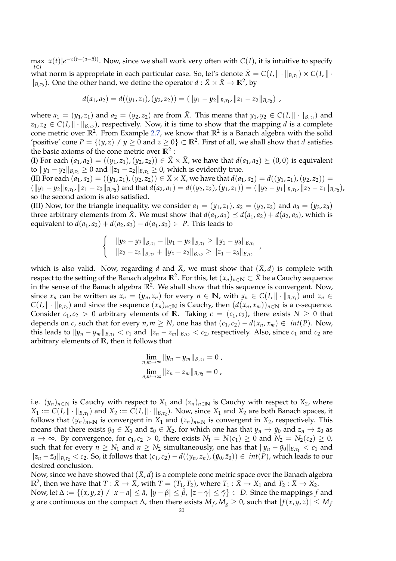$\max_{t \in I} |x(t)| e^{-\tau(t - (a - \bar{a}))}$ . Now, since we shall work very often with *C*(*I*), it is intuitive to specify what norm is appropriate in each particular case. So, let's denote  $\bar{X} = C(I, \|\cdot\|_{B,\tau_1}) \times C(I, \|\cdot\|_{B,\tau_1})$  $\parallel_{B,\tau_2}$ ). One the other hand, we define the operator  $d : \bar{X} \times \bar{X} \to \mathbb{R}^2$ , by

$$
d(a_1,a_2) = d((y_1,z_1),(y_2,z_2)) = (||y_1-y_2||_{B,\tau_1}, ||z_1-z_2||_{B,\tau_2}),
$$

where  $a_1 = (y_1, z_1)$  and  $a_2 = (y_2, z_2)$  are from  $\bar{X}$ . This means that  $y_1, y_2 \in C(I, \|\cdot\|_{B, \tau_1})$  and  $z_1, z_2 \in C(I, \|\cdot\|_{B,\tau_2})$ , respectively. Now, it is time to show that the mapping *d* is a complete cone metric over  $\mathbb{R}^2$ . From Example [2.7,](#page-7-0) we know that  $\mathbb{R}^2$  is a Banach algebra with the solid 'positive' cone  $P = \{(y, z) \mid y \ge 0 \text{ and } z \ge 0\} \subset \mathbb{R}^2$ . First of all, we shall show that *d* satisfies the basic axioms of the cone metric over **R**<sup>2</sup> :

(I) For each  $(a_1, a_2) = ((y_1, z_1), (y_2, z_2)) \in \overline{X} \times \overline{X}$ , we have that  $d(a_1, a_2) \succeq (0, 0)$  is equivalent *to*  $||y_1 - y_2||_{B,\tau_1} \ge 0$  and  $||z_1 - z_2||_{B,\tau_2} \ge 0$ , which is evidently true.

(II) For each  $(a_1, a_2) = ((y_1, z_1), (y_2, z_2)) \in \overline{X} \times \overline{X}$ , we have that  $d(a_1, a_2) = d((y_1, z_1), (y_2, z_2)) =$  $(\|y_1-y_2\|_{B,\tau_1}, \|z_1-z_2\|_{B,\tau_2})$  and that  $d(a_2,a_1)=d((y_2,z_2),(y_1,z_1))=(\|y_2-y_1\|_{B,\tau_1}, \|z_2-z_1\|_{B,\tau_2})$ so the second axiom is also satisfied.

(III) Now, for the triangle inequality, we consider  $a_1 = (y_1, z_1)$ ,  $a_2 = (y_2, z_2)$  and  $a_3 = (y_3, z_3)$ three arbitrary elements from  $\bar{X}$ . We must show that  $d(a_1, a_3) \preceq d(a_1, a_2) + d(a_2, a_3)$ , which is equivalent to  $d(a_1, a_2) + d(a_2, a_3) - d(a_1, a_3) \in P$ . This leads to

$$
\begin{cases} & \|y_2 - y_3\|_{B,\tau_1} + \|y_1 - y_2\|_{B,\tau_1} \geq \|y_1 - y_3\|_{B,\tau_1} \\ & \|z_2 - z_3\|_{B,\tau_2} + \|y_z - z_2\|_{B,\tau_2} \geq \|z_1 - z_3\|_{B,\tau_2} \end{cases}
$$

which is also valid. Now, regarding *d* and  $\bar{X}$ , we must show that  $(\bar{X}, d)$  is complete with respect to the setting of the Banach algebra  $\mathbb{R}^2$ . For this, let  $(x_n)_{n\in\mathbb{N}}\subset \bar{X}$  be a Cauchy sequence in the sense of the Banach algebra  $\mathbb{R}^2$ . We shall show that this sequence is convergent. Now, since  $x_n$  can be written as  $x_n = (y_n, z_n)$  for every  $n \in \mathbb{N}$ , with  $y_n \in C(I, \|\cdot\|_{B, \tau_1})$  and  $z_n \in$  $C(I, \| \cdot \|_{B,\tau_2})$  and since the sequence  $(x_n)_{n \in \mathbb{N}}$  is Cauchy, then  $(d(x_n, x_m))_{n \in \mathbb{N}}$  is a c-sequence. Consider  $c_1, c_2 > 0$  arbitrary elements of **R**. Taking  $c = (c_1, c_2)$ , there exists  $N \ge 0$  that depends on *c*, such that for every *n*,  $m \geq N$ , one has that  $(c_1, c_2) - d(x_n, x_m) \in int(P)$ . Now, this leads to  $||y_n - y_m||_{B,\tau_1} < c_1$  and  $||z_n - z_m||_{B,\tau_2} < c_2$ , respectively. Also, since  $c_1$  and  $c_2$  are arbitrary elements of **R**, then it follows that

$$
\lim_{n,m \to \infty} \|y_n - y_m\|_{B,\tau_1} = 0,
$$
  

$$
\lim_{n,m \to \infty} \|z_n - z_m\|_{B,\tau_2} = 0,
$$

i.e.  $(y_n)_{n \in \mathbb{N}}$  is Cauchy with respect to  $X_1$  and  $(z_n)_{n \in \mathbb{N}}$  is Cauchy with respect to  $X_2$ , where  $X_1 := C(I, \|\cdot\|_{B,\tau_1})$  and  $X_2 := C(I, \|\cdot\|_{B,\tau_2})$ . Now, since  $X_1$  and  $X_2$  are both Banach spaces, it follows that  $(y_n)_{n \in \mathbb{N}}$  is convergent in  $X_1$  and  $(z_n)_{n \in \mathbb{N}}$  is convergent in  $X_2$ , respectively. This means that there exists  $\bar{y}_0 \in X_1$  and  $\bar{z}_0 \in X_2$ , for which one has that  $y_n \to \bar{y}_0$  and  $z_n \to \bar{z}_0$  as *n* → ∞. By convergence, for  $c_1, c_2 > 0$ , there exists  $N_1 = N(c_1) \ge 0$  and  $N_2 = N_2(c_2) \ge 0$ , such that for every  $n \geq N_1$  and  $n \geq N_2$  simultaneously, one has that  $||y_n - \bar{y}_0||_{B,\tau_1} < c_1$  and  $\|z_n - \bar{z}_0\|_{B,\tau_2}$  < *c*<sub>2</sub>. So, it follows that  $(c_1, c_2) - d((y_n, z_n), (\bar{y}_0, \bar{z}_0)) \in int(P)$ , which leads to our desired conclusion.

Now, since we have showed that  $(\bar{X}, d)$  is a complete cone metric space over the Banach algebra  $\mathbb{R}^2$ , then we have that  $T: \bar{X} \to \bar{X}$ , with  $T = (T_1, T_2)$ , where  $T_1: \bar{X} \to X_1$  and  $T_2: \bar{X} \to X_2$ . Now, let  $\Delta := \{(x, y, z) \mid |x - a| \leq \bar{a}, |y - \beta| \leq \bar{\beta}, |z - \gamma| \leq \bar{\gamma}\} \subset D$ . Since the mappings *f* and

*g* are continuous on the compact ∆, then there exists  $M_f$ ,  $M_g ≥ 0$ , such that  $|f(x, y, z)| ≤ M_f$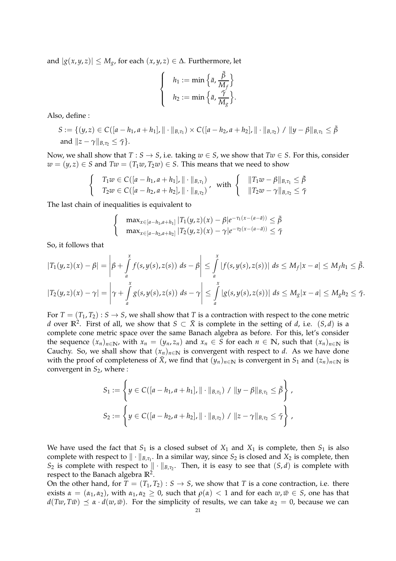and  $|g(x, y, z)|$  ≤ *M<sub>g</sub>*, for each  $(x, y, z)$  ∈ ∆. Furthermore, let

$$
\begin{cases}\n h_1 := \min \left\{ \bar{a}, \frac{\bar{\beta}}{M_f} \right\} \\
 h_2 := \min \left\{ \bar{a}, \frac{\bar{\gamma}}{M_g} \right\}.\n\end{cases}
$$

Also, define :

$$
S := \{ (y, z) \in C([a - h_1, a + h_1], || \cdot ||_{B, \tau_1}) \times C([a - h_2, a + h_2], || \cdot ||_{B, \tau_2}) / ||y - \beta||_{B, \tau_1} \leq \bar{\beta}
$$
  
and  $||z - \gamma||_{B, \tau_2} \leq \bar{\gamma} \}.$ 

Now, we shall show that  $T : S \rightarrow S$ , i.e. taking  $w \in S$ , we show that  $Tw \in S$ . For this, consider *w* =  $(y, z)$  ∈ *S* and *Tw* =  $(T_1w, T_2w)$  ∈ *S*. This means that we need to show

$$
\begin{cases}\nT_1 w \in C([a - h_1, a + h_1], \|\cdot\|_{B, \tau_1}) \\
T_2 w \in C([a - h_2, a + h_2], \|\cdot\|_{B, \tau_2})\n\end{cases}, \text{ with }\n\begin{cases}\n\|T_1 w - \beta\|_{B, \tau_1} \leq \bar{\beta} \\
\|T_2 w - \gamma\|_{B, \tau_2} \leq \bar{\gamma}\n\end{cases}
$$

The last chain of inequalities is equivalent to

$$
\begin{cases}\n\max_{x \in [a-h_1, a+h_1]} |T_1(y, z)(x) - \beta| e^{-\tau_1(x - (a - \bar{a}))} \leq \bar{\beta} \\
\max_{x \in [a-h_2, a+h_2]} |T_2(y, z)(x) - \gamma| e^{-\tau_2(x - (a - \bar{a}))} \leq \bar{\gamma}\n\end{cases}
$$

So, it follows that

$$
|T_1(y,z)(x) - \beta| = \left|\beta + \int_a^x f(s,y(s),z(s)) ds - \beta\right| \leq \int_a^x |f(s,y(s),z(s))| ds \leq M_f |x - a| \leq M_f h_1 \leq \bar{\beta}.
$$
  

$$
|T_2(y,z)(x) - \gamma| = \left|\gamma + \int_a^x g(s,y(s),z(s)) ds - \gamma\right| \leq \int_a^x |g(s,y(s),z(s))| ds \leq M_g |x - a| \leq M_g h_2 \leq \bar{\gamma}.
$$

For  $T = (T_1, T_2) : S \to S$ , we shall show that *T* is a contraction with respect to the cone metric *d* over  $\mathbb{R}^2$ . First of all, we show that  $S \subset \overline{X}$  is complete in the setting of *d*, i.e.  $(S, d)$  is a complete cone metric space over the same Banach algebra as before. For this, let's consider the sequence  $(x_n)_{n \in \mathbb{N}}$ , with  $x_n = (y_n, z_n)$  and  $x_n \in S$  for each  $n \in \mathbb{N}$ , such that  $(x_n)_{n \in \mathbb{N}}$  is Cauchy. So, we shall show that  $(x_n)_{n \in \mathbb{N}}$  is convergent with respect to *d*. As we have done with the proof of completeness of  $\bar{X}$ , we find that  $(y_n)_{n \in \mathbb{N}}$  is convergent in  $S_1$  and  $(z_n)_{n \in \mathbb{N}}$  is convergent in *S*2, where :

$$
S_1 := \left\{ y \in C([a - h_1, a + h_1], || \cdot ||_{B, \tau_1}) / ||y - \beta||_{B, \tau_1} \leq \bar{\beta} \right\},
$$
  

$$
S_2 := \left\{ y \in C([a - h_2, a + h_2], || \cdot ||_{B, \tau_2}) / ||z - \gamma||_{B, \tau_2} \leq \bar{\gamma} \right\},
$$

We have used the fact that  $S_1$  is a closed subset of  $X_1$  and  $X_1$  is complete, then  $S_1$  is also complete with respect to  $\|\cdot\|_{B,\tau_1}$ . In a similar way, since  $S_2$  is closed and  $X_2$  is complete, then *S*<sub>2</sub> is complete with respect to  $\|\cdot\|_{B,\tau_2}$ . Then, it is easy to see that  $(S, d)$  is complete with respect to the Banach algebra **R**<sup>2</sup> .

On the other hand, for  $T = (T_1, T_2) : S \rightarrow S$ , we show that *T* is a cone contraction, i.e. there exists  $\alpha = (\alpha_1, \alpha_2)$ , with  $\alpha_1, \alpha_2 \geq 0$ , such that  $\rho(\alpha) < 1$  and for each  $w, \bar{w} \in S$ , one has that  $d(Tw, T\bar{w}) \preceq \alpha \cdot d(w, \bar{w})$ . For the simplicity of results, we can take  $\alpha_2 = 0$ , because we can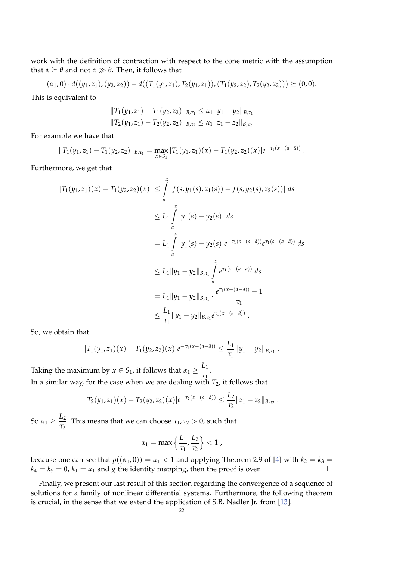work with the definition of contraction with respect to the cone metric with the assumption that  $\alpha \succeq \theta$  and not  $\alpha \gg \theta$ . Then, it follows that

$$
(\alpha_1,0)\cdot d((y_1,z_1),(y_2,z_2))-d((T_1(y_1,z_1),T_2(y_1,z_1)),(T_1(y_2,z_2),T_2(y_2,z_2)))\succeq(0,0).
$$

This is equivalent to

$$
||T_1(y_1,z_1) - T_1(y_2,z_2)||_{B,\tau_1} \leq \alpha_1 ||y_1 - y_2||_{B,\tau_1}
$$
  

$$
||T_2(y_1,z_1) - T_2(y_2,z_2)||_{B,\tau_2} \leq \alpha_1 ||z_1 - z_2||_{B,\tau_2}
$$

For example we have that

$$
||T_1(y_1,z_1)-T_1(y_2,z_2)||_{B,\tau_1} = \max_{x \in S_1} |T_1(y_1,z_1)(x)-T_1(y_2,z_2)(x)|e^{-\tau_1(x-(a-\bar{a}))}
$$

.

Furthermore, we get that

$$
|T_1(y_1, z_1)(x) - T_1(y_2, z_2)(x)| \leq \int_a^x |f(s, y_1(s), z_1(s)) - f(s, y_2(s), z_2(s))| ds
$$
  
\n
$$
\leq L_1 \int_a^x |y_1(s) - y_2(s)| ds
$$
  
\n
$$
= L_1 \int_a^x |y_1(s) - y_2(s)| e^{-\tau_1(s - (a - \bar{a}))} e^{\tau_1(s - (a - \bar{a}))} ds
$$
  
\n
$$
\leq L_1 \|y_1 - y_2\|_{B, \tau_1} \int_a^x e^{\tau_1(s - (a - \bar{a}))} ds
$$
  
\n
$$
= L_1 \|y_1 - y_2\|_{B, \tau_1} \cdot \frac{e^{\tau_1(x - (a - \bar{a}))} - 1}{\tau_1}
$$
  
\n
$$
\leq \frac{L_1}{\tau_1} \|y_1 - y_2\|_{B, \tau_1} e^{\tau_1(x - (a - \bar{a}))}.
$$

So, we obtain that

$$
|T_1(y_1,z_1)(x)-T_1(y_2,z_2)(x)|e^{-\tau_1(x-(a-\bar{a}))}\leq \frac{L_1}{\tau_1}||y_1-y_2||_{B,\tau_1}.
$$

Taking the maximum by  $x \in S_1$ , it follows that  $\alpha_1 \geq \frac{L_1}{\tau}$  $\frac{1}{\tau_1}$ . In a similar way, for the case when we are dealing with  $T_2$ , it follows that

$$
|T_2(y_1,z_1)(x)-T_2(y_2,z_2)(x)|e^{-\tau_2(x-(a-\bar{a}))}\leq \frac{L_2}{\tau_2}||z_1-z_2||_{B,\tau_2}.
$$

So  $\alpha_1 \geq \frac{L_2}{\tau_2}$  $\frac{L_2}{\tau_2}$ . This means that we can choose  $\tau_1$ ,  $\tau_2 > 0$ , such that

$$
\alpha_1=\max\left\{\frac{L_1}{\tau_1},\frac{L_2}{\tau_2}\right\}<1\;,
$$

because one can see that  $\rho((\alpha_1, 0)) = \alpha_1 < 1$  and applying Theorem 2.9 of [\[4\]](#page-25-11) with  $k_2 = k_3 =$  $k_4 = k_5 = 0$ ,  $k_1 = \alpha_1$  and *g* the identity mapping, then the proof is over.

Finally, we present our last result of this section regarding the convergence of a sequence of solutions for a family of nonlinear differential systems. Furthermore, the following theorem is crucial, in the sense that we extend the application of S.B. Nadler Jr. from [\[13\]](#page-25-3).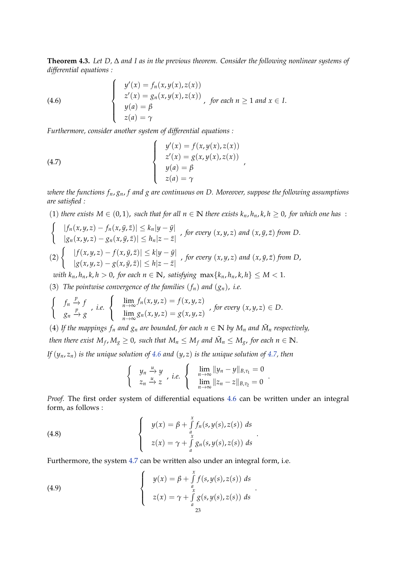**Theorem 4.3.** *Let D,* ∆ *and I as in the previous theorem. Consider the following nonlinear systems of differential equations :*

<span id="page-22-0"></span>(4.6) 
$$
\begin{cases} y'(x) = f_n(x, y(x), z(x)) \\ z'(x) = g_n(x, y(x), z(x)) \\ y(a) = \beta \\ z(a) = \gamma \end{cases}
$$
, for each  $n \ge 1$  and  $x \in I$ .

*Furthermore, consider another system of differential equations :*

(4.7) 
$$
\begin{cases}\ny'(x) = f(x, y(x), z(x)) \\
z'(x) = g(x, y(x), z(x)) \\
y(a) = \beta \\
z(a) = \gamma\n\end{cases}
$$

*where the functions fn*, *gn*, *f and g are continuous on D. Moreover, suppose the following assumptions are satisfied :*

<span id="page-22-1"></span>,

.

\n- (1) there exists 
$$
M \in (0,1)
$$
, such that for all  $n \in \mathbb{N}$  there exists  $k_n, h_n, k, h \geq 0$ , for which one has:
\n- \n
$$
\left\{\n\begin{array}{l}\n|f_n(x, y, z) - f_n(x, \bar{y}, \bar{z})| \leq k_n |y - \bar{y}| \\
|g_n(x, y, z) - g_n(x, \bar{y}, \bar{z})| \leq h_n |z - \bar{z}|\n\end{array}\n\right.
$$
\n*for every*  $(x, y, z)$  and  $(x, \bar{y}, \bar{z})$  from  $D$ .
\n- (2) 
$$
\left\{\n\begin{array}{l}\n|f(x, y, z) - f(x, \bar{y}, \bar{z})| \leq k |y - \bar{y}| \\
|g(x, y, z) - g(x, \bar{y}, \bar{z})| \leq h |z - \bar{z}|\n\end{array}\n\right.
$$
\n*for every*  $(x, y, z)$  and  $(x, \bar{y}, \bar{z})$  from  $D$ ,  $|z - \bar{z}| < \bar{z}$ .
\n

*with*  $k_n$ ,  $h_n$ ,  $k$ ,  $h > 0$ , for each  $n \in \mathbb{N}$ , satisfying  $\max\{k_n, h_n, k, h\} \leq M < 1$ .

(3) *The pointwise convergence of the families*  $(f_n)$  *and*  $(g_n)$ *, i.e.* 

$$
\begin{cases}\n\begin{array}{c}\nf_n \xrightarrow{p} f \\
g_n \xrightarrow{p} g\n\end{array}, i.e. \begin{cases}\n\lim_{n \to \infty} f_n(x, y, z) = f(x, y, z) \\
\lim_{n \to \infty} g_n(x, y, z) = g(x, y, z)\n\end{cases}, \text{ for every } (x, y, z) \in D.
$$

(4) If the mappings  $f_n$  and  $g_n$  are bounded, for each  $n \in \mathbb{N}$  by  $M_n$  and  $\tilde{M}_n$  respectively, *then there exist*  $M_f$ *,*  $M_g \ge 0$ *, such that*  $M_n \le M_f$  *and*  $\tilde{M}_n \le M_g$ *, for each*  $n \in \mathbb{N}$ *.* 

*If* (*yn*, *zn*) *is the unique solution of [4.6](#page-22-0) and* (*y*, *z*) *is the unique solution of [4.7,](#page-22-1) then*

$$
\begin{cases}\n y_n \xrightarrow{u} y \\
 z_n \xrightarrow{u} z\n\end{cases}, i.e. \begin{cases}\n \lim_{n \to \infty} ||y_n - y||_{B,\tau_1} = 0 \\
 \lim_{n \to \infty} ||z_n - z||_{B,\tau_2} = 0\n\end{cases}
$$

*Proof.* The first order system of differential equations [4.6](#page-22-0) can be written under an integral form, as follows :

(4.8) 
$$
\begin{cases} y(x) = \beta + \int_{a}^{x} f_n(s, y(s), z(s)) ds \\ z(x) = \gamma + \int_{a}^{x} g_n(s, y(s), z(s)) ds \end{cases}
$$

Furthermore, the system [4.7](#page-22-1) can be written also under an integral form, i.e.

(4.9) 
$$
\begin{cases} y(x) = \beta + \int_{a}^{x} f(s, y(s), z(s)) ds \\ z(x) = \gamma + \int_{a}^{x} g(s, y(s), z(s)) ds \\ 23 \end{cases}
$$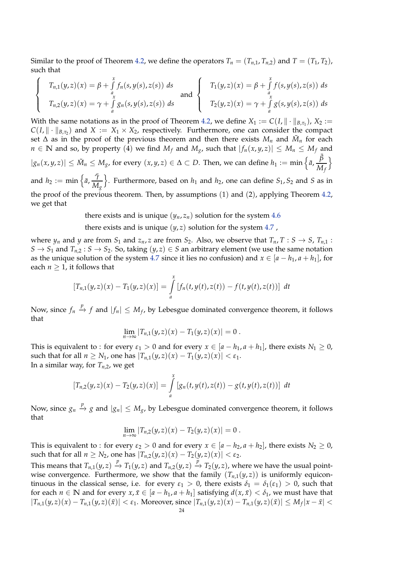Similar to the proof of Theorem [4.2,](#page-18-1) we define the operators  $T_n = (T_{n,1}, T_{n,2})$  and  $T = (T_1, T_2)$ , such that

$$
\begin{cases}\nT_{n,1}(y,z)(x) = \beta + \int_{a}^{x} f_n(s,y(s),z(s)) ds \\
T_{n,2}(y,z)(x) = \gamma + \int_{a}^{x} g_n(s,y(s),z(s)) ds\n\end{cases}\n\text{ and }\n\begin{cases}\nT_1(y,z)(x) = \beta + \int_{a}^{x} f(s,y(s),z(s)) ds \\
T_2(y,z)(x) = \gamma + \int_{a}^{x} g(s,y(s),z(s)) ds\n\end{cases}
$$

With the same notations as in the proof of Theorem [4.2,](#page-18-1) we define  $X_1 := C(I, \|\cdot\|_{B,\tau_1})$ ,  $X_2 :=$  $C(I, \| \cdot \|_{B,\tau_2})$  and  $X := X_1 \times X_2$ , respectively. Furthermore, one can consider the compact set  $\Delta$  as in the proof of the previous theorem and then there exists  $M_n$  and  $\tilde{M}_n$  for each *n* ∈ **N** and so, by property (4) we find  $M_f$  and  $M_g$ , such that  $|f_n(x,y,z)| ≤ M_n ≤ M_f$  and  $|g_n(x,y,z)| \leq \tilde{M}_n \leq M_g$ , for every  $(x,y,z) \in \Delta \subset D$ . Then, we can define  $h_1 := \min \left\{ \bar{a}, \frac{\bar{\beta}}{M_g} \right\}$ *M<sup>f</sup>* o and  $h_2 := \min \left\{ \bar{a}, \frac{\bar{\gamma}}{M} \right\}$ *M<sup>g</sup>*  $\}$ . Furthermore, based on  $h_1$  and  $h_2$ , one can define  $S_1$ ,  $S_2$  and *S* as in the proof of the previous theorem. Then, by assumptions (1) and (2), applying Theorem [4.2,](#page-18-1)

we get that

there exists and is unique  $(y_n, z_n)$  solution for the system [4.6](#page-22-0)

there exists and is unique  $(y, z)$  solution for the system [4.7](#page-22-1),

where  $y_n$  and  $y$  are from  $S_1$  and  $z_n$ ,  $z$  are from  $S_2$ . Also, we observe that  $T_n$ ,  $T: S \to S$ ,  $T_{n,1}$ :  $S \rightarrow S_1$  and  $T_{n,2}: S \rightarrow S_2$ . So, taking  $(y, z) \in S$  an arbitrary element (we use the same notation as the unique solution of the system [4.7](#page-22-1) since it lies no confusion) and  $x \in [a - h_1, a + h_1]$ , for each  $n \geq 1$ , it follows that

$$
[T_{n,1}(y,z)(x) - T_1(y,z)(x)] = \int_a^x [f_n(t,y(t),z(t)) - f(t,y(t),z(t))] dt
$$

Now, since  $f_n \stackrel{p}{\to} f$  and  $|f_n| \leq M_f$ , by Lebesgue dominated convergence theorem, it follows that

$$
\lim_{n\to\infty} |T_{n,1}(y,z)(x) - T_1(y,z)(x)| = 0.
$$

This is equivalent to : for every  $\varepsilon_1 > 0$  and for every  $x \in [a - h_1, a + h_1]$ , there exists  $N_1 \ge 0$ , such that for all  $n \geq N_1$ , one has  $|T_{n,1}(y, z)(x) - T_1(y, z)(x)| < \varepsilon_1$ . In a similar way, for  $T_{n,2}$ , we get

$$
[T_{n,2}(y,z)(x) - T_2(y,z)(x)] = \int_a^x [g_n(t,y(t),z(t)) - g(t,y(t),z(t))] dt
$$

Now, since  $g_n \stackrel{p}{\to} g$  and  $|g_n| \leq M_g$ , by Lebesgue dominated convergence theorem, it follows that

$$
\lim_{n\to\infty} |T_{n,2}(y,z)(x) - T_2(y,z)(x)| = 0.
$$

This is equivalent to : for every  $\varepsilon_2 > 0$  and for every  $x \in [a - h_2, a + h_2]$ , there exists  $N_2 \ge 0$ , such that for all  $n \geq N_2$ , one has  $|T_{n,2}(y,z)(x) - T_2(y,z)(x)| < \varepsilon_2$ .

This means that  $T_{n,1}(y,z) \stackrel{p}{\to} T_1(y,z)$  and  $T_{n,2}(y,z) \stackrel{p}{\to} T_2(y,z)$ , where we have the usual pointwise convergence. Furthermore, we show that the family  $(T_{n,1}(y, z))$  is uniformly equicontinuous in the classical sense, i.e. for every  $\varepsilon_1 > 0$ , there exists  $\delta_1 = \delta_1(\varepsilon_1) > 0$ , such that for each  $n \in \mathbb{N}$  and for every  $x, \bar{x} \in [a - h_1, a + h_1]$  satisfying  $d(x, \bar{x}) < \delta_1$ , we must have that  $|T_{n,1}(y,z)(x) - T_{n,1}(y,z)(\bar{x})| < \varepsilon_1$ . Moreover, since  $|T_{n,1}(y,z)(x) - T_{n,1}(y,z)(\bar{x})| \le M_f |x - \bar{x}| <$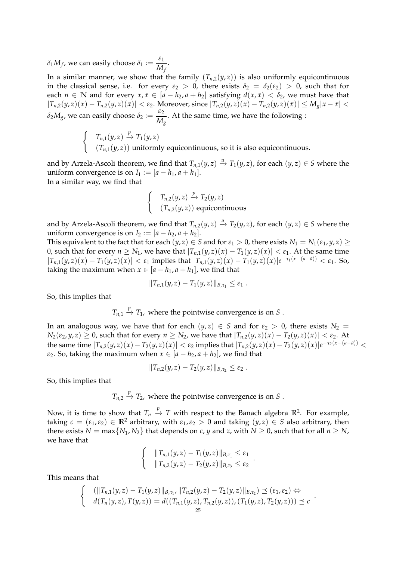$\delta_1 M_f$ , we can easily choose  $\delta_1 := \frac{\varepsilon_1}{M}$  $\frac{c_1}{M_f}$ .

In a similar manner, we show that the family  $(T_{n,2}(y, z))$  is also uniformly equicontinuous in the classical sense, i.e. for every  $\varepsilon_2 > 0$ , there exists  $\delta_2 = \delta_2(\varepsilon_2) > 0$ , such that for each  $n \in \mathbb{N}$  and for every  $x, \bar{x} \in [a - h_2, a + h_2]$  satisfying  $d(x, \bar{x}) < \delta_2$ , we must have that  $|T_{n,2}(y,z)(x)-T_{n,2}(y,z)(\bar{x})|<\varepsilon_2$ . Moreover, since  $|T_{n,2}(y,z)(x)-T_{n,2}(y,z)(\bar{x})|\leq M_{\mathcal{S}}|x-\bar{x}|<\varepsilon_2$  $\delta_2 M_g$ , we can easily choose  $\delta_2 := \frac{\varepsilon_2}{M}$  $\frac{Z_2}{M_g}$ . At the same time, we have the following :

$$
\begin{cases}\nT_{n,1}(y,z) \xrightarrow{p} T_1(y,z) \\
(T_{n,1}(y,z)) \text{ uniformly equicontinuous, so it is also equicontinuous.} \n\end{cases}
$$

and by Arzela-Ascoli theorem, we find that  $T_{n,1}(y,z) \stackrel{u}{\to} T_1(y,z)$ , for each  $(y,z) \in S$  where the uniform convergence is on  $I_1 := [a - h_1, a + h_1]$ . In a similar way, we find that

$$
\begin{cases}\nT_{n,2}(y,z) \xrightarrow{p} T_2(y,z) \\
(T_{n,2}(y,z)) \text{ equicontinuous}\n\end{cases}
$$

and by Arzela-Ascoli theorem, we find that  $T_{n,2}(y,z) \stackrel{u}{\rightarrow} T_2(y,z)$ , for each  $(y,z) \in S$  where the uniform convergence is on  $I_2 := [a - h_2, a + h_2]$ .

This equivalent to the fact that for each  $(y, z) \in S$  and for  $\varepsilon_1 > 0$ , there exists  $N_1 = N_1(\varepsilon_1, y, z) \geq$ 0, such that for every  $n \geq N_1$ , we have that  $|T_{n,1}(y,z)(x) - T_1(y,z)(x)| < \varepsilon_1$ . At the same time  $|T_{n,1}(y,z)(x) - T_1(y,z)(x)| < \varepsilon_1$  implies that  $|T_{n,1}(y,z)(x) - T_1(y,z)(x)|e^{-\tau_1(x-(a-\bar{a}))} < \varepsilon_1$ . So, taking the maximum when  $x \in [a - h_1, a + h_1]$ , we find that

$$
||T_{n,1}(y,z)-T_1(y,z)||_{B,\tau_1}\leq \varepsilon_1.
$$

So, this implies that

$$
T_{n,1} \stackrel{p}{\rightarrow} T_1
$$
, where the pointwise convergence is on *S*.

In an analogous way, we have that for each  $(y, z) \in S$  and for  $\varepsilon_2 > 0$ , there exists  $N_2 =$ *N*<sub>2</sub>( $\varepsilon$ <sub>2</sub>, *y*, *z*) ≥ 0, such that for every *n* ≥ *N*<sub>2</sub>, we have that  $|T_{n,2}(y, z)(x) - T_2(y, z)(x)| < \varepsilon$ <sub>2</sub>. At the same time  $|T_{n,2}(y,z)(x)-T_2(y,z)(x)|<\varepsilon_2$  implies that  $|T_{n,2}(y,z)(x)-T_2(y,z)(x)|e^{-\tau_2(x-(a-\bar a))}<$ *ε*<sub>2</sub>. So, taking the maximum when  $x \in [a - h_2, a + h_2]$ , we find that

$$
||T_{n,2}(y,z)-T_2(y,z)||_{B,\tau_2}\leq \varepsilon_2.
$$

So, this implies that

 $T_{n,2} \stackrel{p}{\rightarrow} T_2$ , where the pointwise convergence is on *S*.

Now, it is time to show that  $T_n \stackrel{p}{\rightarrow} T$  with respect to the Banach algebra  $\mathbb{R}^2$ . For example, taking  $c = (\varepsilon_1, \varepsilon_2) \in \mathbb{R}^2$  arbitrary, with  $\varepsilon_1, \varepsilon_2 > 0$  and taking  $(y, z) \in S$  also arbitrary, then there exists *N* = max $\{N_1, N_2\}$  that depends on *c*, *y* and *z*, with *N*  $\geq$  0, such that for all *n*  $\geq$  *N*, we have that

$$
\begin{cases} & \|T_{n,1}(y,z)-T_1(y,z)\|_{B,\tau_1} \leq \varepsilon_1 \\ & \|T_{n,2}(y,z)-T_2(y,z)\|_{B,\tau_2} \leq \varepsilon_2 \end{cases}.
$$

This means that

$$
\begin{cases} & (\|T_{n,1}(y,z)-T_1(y,z)\|_{B,\tau_1}, \|T_{n,2}(y,z)-T_2(y,z)\|_{B,\tau_2}) \preceq (\varepsilon_1,\varepsilon_2) \Leftrightarrow \\ & d(T_n(y,z),T(y,z)) = d((T_{n,1}(y,z),T_{n,2}(y,z)),(T_1(y,z),T_2(y,z))) \preceq c \end{cases}.
$$